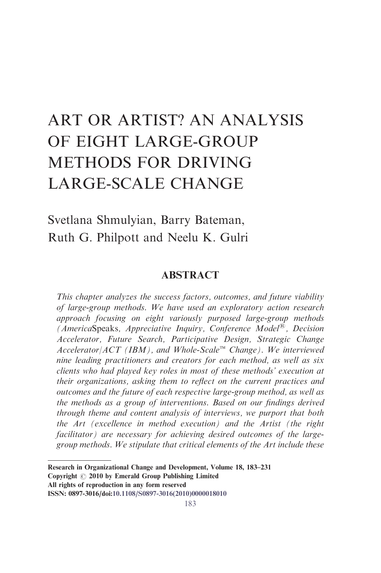# ART OR ARTIST? AN ANALYSIS OF EIGHT LARGE-GROUP METHODS FOR DRIVING LARGE-SCALE CHANGE

Svetlana Shmulyian, Barry Bateman, Ruth G. Philpott and Neelu K. Gulri

# **ABSTRACT**

This chapter analyzes the success factors, outcomes, and future viability of large-group methods. We have used an exploratory action research approach focusing on eight variously purposed large-group methods (AmericaSpeaks, Appreciative Inquiry, Conference Model<sup>®</sup>, Decision Accelerator, Future Search, Participative Design, Strategic Change  $Acceleration/ACT$  (IBM), and Whole-Scale<sup>TM</sup> Change). We interviewed nine leading practitioners and creators for each method, as well as six clients who had played key roles in most of these methods' execution at their organizations, asking them to reflect on the current practices and outcomes and the future of each respective large-group method, as well as the methods as a group of interventions. Based on our findings derived through theme and content analysis of interviews, we purport that both the Art (excellence in method execution) and the Artist (the right facilitator) are necessary for achieving desired outcomes of the largegroup methods. We stipulate that critical elements of the Art include these

Research in Organizational Change and Development, Volume 18, 183–231 Copyright  $\odot$  2010 by Emerald Group Publishing Limited All rights of reproduction in any form reserved ISSN: 0897-3016/doi[:10.1108/S0897-3016\(2010\)0000018010](dx.doi.org/10.1108/S0897-3016(2010)0000018010)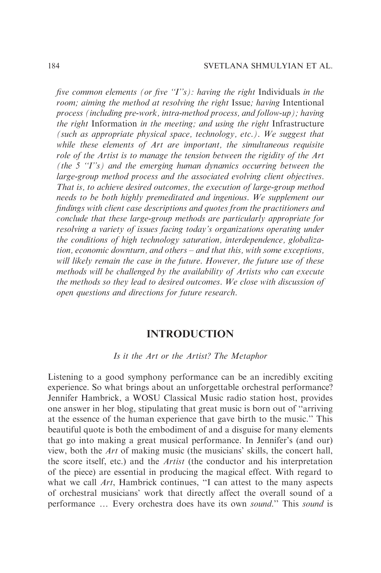five common elements (or five  $T$ 's): having the right Individuals in the room; aiming the method at resolving the right Issue; having Intentional process (including pre-work, intra-method process, and follow-up); having the right Information in the meeting; and using the right Infrastructure (such as appropriate physical space, technology, etc.). We suggest that while these elements of Art are important, the simultaneous requisite role of the Artist is to manage the tension between the rigidity of the Art (the  $5$  "I"s) and the emerging human dynamics occurring between the large-group method process and the associated evolving client objectives. That is, to achieve desired outcomes, the execution of large-group method needs to be both highly premeditated and ingenious. We supplement our findings with client case descriptions and quotes from the practitioners and conclude that these large-group methods are particularly appropriate for resolving a variety of issues facing today's organizations operating under the conditions of high technology saturation, interdependence, globalization, economic downturn, and others – and that this, with some exceptions, will likely remain the case in the future. However, the future use of these methods will be challenged by the availability of Artists who can execute the methods so they lead to desired outcomes. We close with discussion of open questions and directions for future research.

# INTRODUCTION

#### Is it the Art or the Artist? The Metaphor

Listening to a good symphony performance can be an incredibly exciting experience. So what brings about an unforgettable orchestral performance? Jennifer Hambrick, a WOSU Classical Music radio station host, provides one answer in her blog, stipulating that great music is born out of ''arriving at the essence of the human experience that gave birth to the music.'' This beautiful quote is both the embodiment of and a disguise for many elements that go into making a great musical performance. In Jennifer's (and our) view, both the Art of making music (the musicians' skills, the concert hall, the score itself, etc.) and the Artist (the conductor and his interpretation of the piece) are essential in producing the magical effect. With regard to what we call Art, Hambrick continues, "I can attest to the many aspects of orchestral musicians' work that directly affect the overall sound of a performance ... Every orchestra does have its own sound." This sound is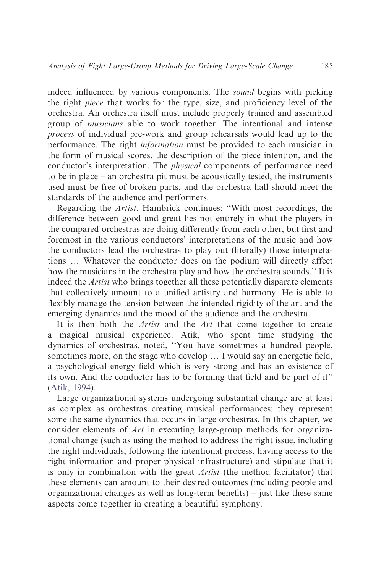indeed influenced by various components. The sound begins with picking the right piece that works for the type, size, and proficiency level of the orchestra. An orchestra itself must include properly trained and assembled group of musicians able to work together. The intentional and intense process of individual pre-work and group rehearsals would lead up to the performance. The right information must be provided to each musician in the form of musical scores, the description of the piece intention, and the conductor's interpretation. The physical components of performance need to be in place – an orchestra pit must be acoustically tested, the instruments used must be free of broken parts, and the orchestra hall should meet the standards of the audience and performers.

Regarding the Artist, Hambrick continues: ''With most recordings, the difference between good and great lies not entirely in what the players in the compared orchestras are doing differently from each other, but first and foremost in the various conductors' interpretations of the music and how the conductors lead the orchestras to play out (literally) those interpretations ... Whatever the conductor does on the podium will directly affect how the musicians in the orchestra play and how the orchestra sounds.'' It is indeed the Artist who brings together all these potentially disparate elements that collectively amount to a unified artistry and harmony. He is able to flexibly manage the tension between the intended rigidity of the art and the emerging dynamics and the mood of the audience and the orchestra.

It is then both the *Artist* and the *Art* that come together to create a magical musical experience. Atik, who spent time studying the dynamics of orchestras, noted, ''You have sometimes a hundred people, sometimes more, on the stage who develop  $\ldots$  I would say an energetic field, a psychological energy field which is very strong and has an existence of its own. And the conductor has to be forming that field and be part of it'' [\(Atik, 1994\)](#page-43-0).

Large organizational systems undergoing substantial change are at least as complex as orchestras creating musical performances; they represent some the same dynamics that occurs in large orchestras. In this chapter, we consider elements of Art in executing large-group methods for organizational change (such as using the method to address the right issue, including the right individuals, following the intentional process, having access to the right information and proper physical infrastructure) and stipulate that it is only in combination with the great *Artist* (the method facilitator) that these elements can amount to their desired outcomes (including people and organizational changes as well as long-term benefits) – just like these same aspects come together in creating a beautiful symphony.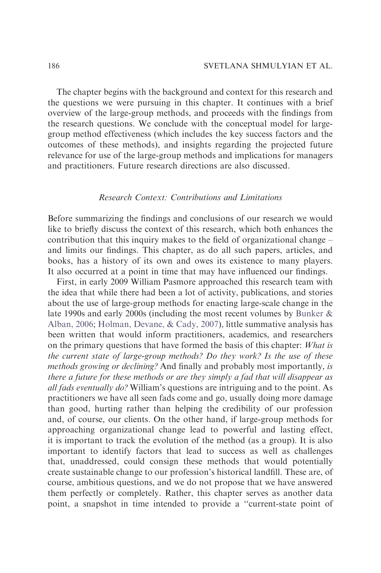The chapter begins with the background and context for this research and the questions we were pursuing in this chapter. It continues with a brief overview of the large-group methods, and proceeds with the findings from the research questions. We conclude with the conceptual model for largegroup method effectiveness (which includes the key success factors and the outcomes of these methods), and insights regarding the projected future relevance for use of the large-group methods and implications for managers and practitioners. Future research directions are also discussed.

#### Research Context: Contributions and Limitations

Before summarizing the findings and conclusions of our research we would like to briefly discuss the context of this research, which both enhances the contribution that this inquiry makes to the field of organizational change – and limits our findings. This chapter, as do all such papers, articles, and books, has a history of its own and owes its existence to many players. It also occurred at a point in time that may have influenced our findings.

First, in early 2009 William Pasmore approached this research team with the idea that while there had been a lot of activity, publications, and stories about the use of large-group methods for enacting large-scale change in the late 1990s and early 2000s (including the most recent volumes by [Bunker &](#page-43-0) [Alban, 2006;](#page-43-0) [Holman, Devane, & Cady, 2007](#page-44-0)), little summative analysis has been written that would inform practitioners, academics, and researchers on the primary questions that have formed the basis of this chapter: What is the current state of large-group methods? Do they work? Is the use of these methods growing or declining? And finally and probably most importantly, is there a future for these methods or are they simply a fad that will disappear as all fads eventually do? William's questions are intriguing and to the point. As practitioners we have all seen fads come and go, usually doing more damage than good, hurting rather than helping the credibility of our profession and, of course, our clients. On the other hand, if large-group methods for approaching organizational change lead to powerful and lasting effect, it is important to track the evolution of the method (as a group). It is also important to identify factors that lead to success as well as challenges that, unaddressed, could consign these methods that would potentially create sustainable change to our profession's historical landfill. These are, of course, ambitious questions, and we do not propose that we have answered them perfectly or completely. Rather, this chapter serves as another data point, a snapshot in time intended to provide a ''current-state point of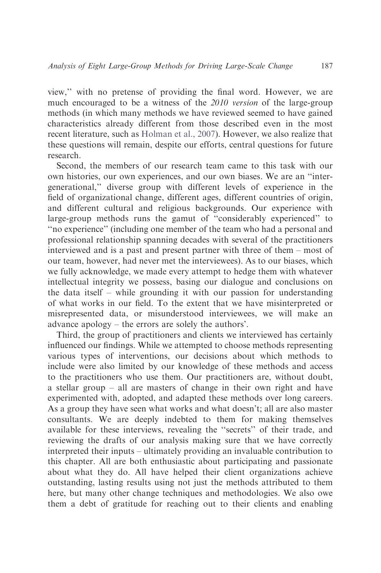view,'' with no pretense of providing the final word. However, we are much encouraged to be a witness of the 2010 version of the large-group methods (in which many methods we have reviewed seemed to have gained characteristics already different from those described even in the most recent literature, such as [Holman et al., 2007\)](#page-44-0). However, we also realize that these questions will remain, despite our efforts, central questions for future research.

Second, the members of our research team came to this task with our own histories, our own experiences, and our own biases. We are an ''intergenerational,'' diverse group with different levels of experience in the field of organizational change, different ages, different countries of origin, and different cultural and religious backgrounds. Our experience with large-group methods runs the gamut of ''considerably experienced'' to ''no experience'' (including one member of the team who had a personal and professional relationship spanning decades with several of the practitioners interviewed and is a past and present partner with three of them – most of our team, however, had never met the interviewees). As to our biases, which we fully acknowledge, we made every attempt to hedge them with whatever intellectual integrity we possess, basing our dialogue and conclusions on the data itself – while grounding it with our passion for understanding of what works in our field. To the extent that we have misinterpreted or misrepresented data, or misunderstood interviewees, we will make an advance apology – the errors are solely the authors'.

Third, the group of practitioners and clients we interviewed has certainly influenced our findings. While we attempted to choose methods representing various types of interventions, our decisions about which methods to include were also limited by our knowledge of these methods and access to the practitioners who use them. Our practitioners are, without doubt, a stellar group – all are masters of change in their own right and have experimented with, adopted, and adapted these methods over long careers. As a group they have seen what works and what doesn't; all are also master consultants. We are deeply indebted to them for making themselves available for these interviews, revealing the ''secrets'' of their trade, and reviewing the drafts of our analysis making sure that we have correctly interpreted their inputs – ultimately providing an invaluable contribution to this chapter. All are both enthusiastic about participating and passionate about what they do. All have helped their client organizations achieve outstanding, lasting results using not just the methods attributed to them here, but many other change techniques and methodologies. We also owe them a debt of gratitude for reaching out to their clients and enabling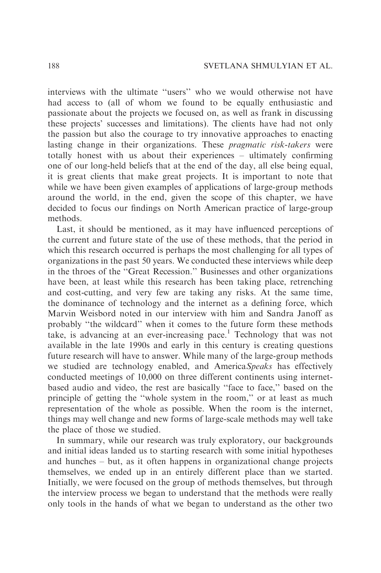interviews with the ultimate ''users'' who we would otherwise not have had access to (all of whom we found to be equally enthusiastic and passionate about the projects we focused on, as well as frank in discussing these projects' successes and limitations). The clients have had not only the passion but also the courage to try innovative approaches to enacting lasting change in their organizations. These *pragmatic risk-takers* were totally honest with us about their experiences – ultimately confirming one of our long-held beliefs that at the end of the day, all else being equal, it is great clients that make great projects. It is important to note that while we have been given examples of applications of large-group methods around the world, in the end, given the scope of this chapter, we have decided to focus our findings on North American practice of large-group methods.

Last, it should be mentioned, as it may have influenced perceptions of the current and future state of the use of these methods, that the period in which this research occurred is perhaps the most challenging for all types of organizations in the past 50 years. We conducted these interviews while deep in the throes of the ''Great Recession.'' Businesses and other organizations have been, at least while this research has been taking place, retrenching and cost-cutting, and very few are taking any risks. At the same time, the dominance of technology and the internet as a defining force, which Marvin Weisbord noted in our interview with him and Sandra Janoff as probably ''the wildcard'' when it comes to the future form these methods take, is advancing at an ever-increasing pace.<sup>1</sup> Technology that was not available in the late 1990s and early in this century is creating questions future research will have to answer. While many of the large-group methods we studied are technology enabled, and AmericaSpeaks has effectively conducted meetings of 10,000 on three different continents using internetbased audio and video, the rest are basically ''face to face,'' based on the principle of getting the ''whole system in the room,'' or at least as much representation of the whole as possible. When the room is the internet, things may well change and new forms of large-scale methods may well take the place of those we studied.

In summary, while our research was truly exploratory, our backgrounds and initial ideas landed us to starting research with some initial hypotheses and hunches – but, as it often happens in organizational change projects themselves, we ended up in an entirely different place than we started. Initially, we were focused on the group of methods themselves, but through the interview process we began to understand that the methods were really only tools in the hands of what we began to understand as the other two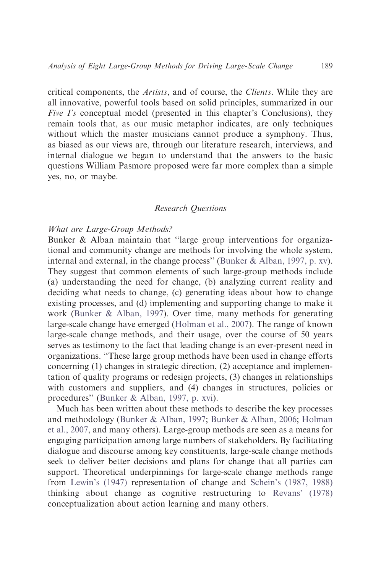critical components, the Artists, and of course, the Clients. While they are all innovative, powerful tools based on solid principles, summarized in our Five I's conceptual model (presented in this chapter's Conclusions), they remain tools that, as our music metaphor indicates, are only techniques without which the master musicians cannot produce a symphony. Thus, as biased as our views are, through our literature research, interviews, and internal dialogue we began to understand that the answers to the basic questions William Pasmore proposed were far more complex than a simple yes, no, or maybe.

#### Research Questions

#### What are Large-Group Methods?

Bunker & Alban maintain that ''large group interventions for organizational and community change are methods for involving the whole system, internal and external, in the change process'' ([Bunker & Alban, 1997, p. xv\)](#page-43-0). They suggest that common elements of such large-group methods include (a) understanding the need for change, (b) analyzing current reality and deciding what needs to change, (c) generating ideas about how to change existing processes, and (d) implementing and supporting change to make it work ([Bunker & Alban, 1997](#page-43-0)). Over time, many methods for generating large-scale change have emerged ([Holman et al., 2007\)](#page-44-0). The range of known large-scale change methods, and their usage, over the course of 50 years serves as testimony to the fact that leading change is an ever-present need in organizations. ''These large group methods have been used in change efforts concerning (1) changes in strategic direction, (2) acceptance and implementation of quality programs or redesign projects, (3) changes in relationships with customers and suppliers, and (4) changes in structures, policies or procedures'' ([Bunker & Alban, 1997, p. xvi](#page-43-0)).

Much has been written about these methods to describe the key processes and methodology ([Bunker & Alban, 1997;](#page-43-0) [Bunker & Alban, 2006;](#page-43-0) [Holman](#page-44-0) [et al., 2007,](#page-44-0) and many others). Large-group methods are seen as a means for engaging participation among large numbers of stakeholders. By facilitating dialogue and discourse among key constituents, large-scale change methods seek to deliver better decisions and plans for change that all parties can support. Theoretical underpinnings for large-scale change methods range from [Lewin's \(1947\)](#page-44-0) representation of change and [Schein's \(1987, 1988\)](#page-44-0) thinking about change as cognitive restructuring to [Revans' \(1978\)](#page-44-0) conceptualization about action learning and many others.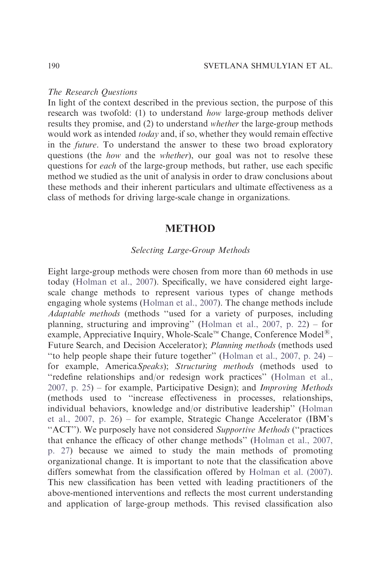#### The Research Questions

In light of the context described in the previous section, the purpose of this research was twofold: (1) to understand how large-group methods deliver results they promise, and (2) to understand whether the large-group methods would work as intended *today* and, if so, whether they would remain effective in the future. To understand the answer to these two broad exploratory questions (the *how* and the *whether*), our goal was not to resolve these questions for each of the large-group methods, but rather, use each specific method we studied as the unit of analysis in order to draw conclusions about these methods and their inherent particulars and ultimate effectiveness as a class of methods for driving large-scale change in organizations.

# **METHOD**

## Selecting Large-Group Methods

Eight large-group methods were chosen from more than 60 methods in use today ([Holman et al., 2007\)](#page-44-0). Specifically, we have considered eight largescale change methods to represent various types of change methods engaging whole systems ([Holman et al., 2007](#page-44-0)). The change methods include Adaptable methods (methods ''used for a variety of purposes, including planning, structuring and improving'' ([Holman et al., 2007, p. 22\)](#page-44-0) – for example, Appreciative Inquiry, Whole-Scale™ Change, Conference Model<sup>®</sup>, Future Search, and Decision Accelerator); Planning methods (methods used ''to help people shape their future together'' ([Holman et al., 2007, p. 24](#page-44-0)) – for example, AmericaSpeaks); Structuring methods (methods used to ''redefine relationships and/or redesign work practices'' [\(Holman et al.,](#page-44-0) [2007, p. 25\)](#page-44-0) – for example, Participative Design); and Improving Methods (methods used to ''increase effectiveness in processes, relationships, individual behaviors, knowledge and/or distributive leadership'' ([Holman](#page-44-0) [et al., 2007, p. 26\)](#page-44-0) – for example, Strategic Change Accelerator (IBM's "ACT"). We purposely have not considered Supportive Methods ("practices" that enhance the efficacy of other change methods'' [\(Holman et al., 2007,](#page-44-0) [p. 27\)](#page-44-0) because we aimed to study the main methods of promoting organizational change. It is important to note that the classification above differs somewhat from the classification offered by [Holman et al. \(2007\)](#page-44-0). This new classification has been vetted with leading practitioners of the above-mentioned interventions and reflects the most current understanding and application of large-group methods. This revised classification also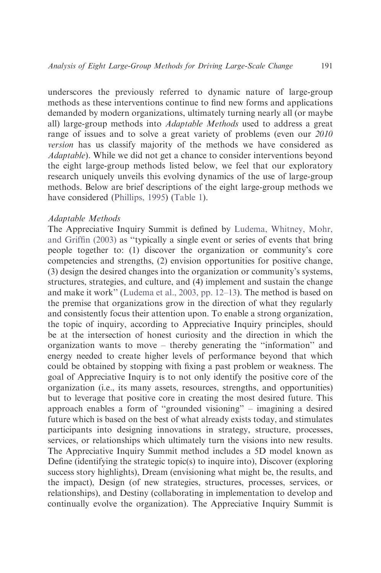underscores the previously referred to dynamic nature of large-group methods as these interventions continue to find new forms and applications demanded by modern organizations, ultimately turning nearly all (or maybe all) large-group methods into Adaptable Methods used to address a great range of issues and to solve a great variety of problems (even our 2010 version has us classify majority of the methods we have considered as Adaptable). While we did not get a chance to consider interventions beyond the eight large-group methods listed below, we feel that our exploratory research uniquely unveils this evolving dynamics of the use of large-group methods. Below are brief descriptions of the eight large-group methods we have considered [\(Phillips, 1995](#page-44-0)) [\(Table 1\)](#page-9-0).

#### Adaptable Methods

The Appreciative Inquiry Summit is defined by [Ludema, Whitney, Mohr,](#page-44-0) [and Griffin \(2003\)](#page-44-0) as ''typically a single event or series of events that bring people together to: (1) discover the organization or community's core competencies and strengths, (2) envision opportunities for positive change, (3) design the desired changes into the organization or community's systems, structures, strategies, and culture, and (4) implement and sustain the change and make it work'' [\(Ludema et al., 2003, pp. 12–13](#page-44-0)). The method is based on the premise that organizations grow in the direction of what they regularly and consistently focus their attention upon. To enable a strong organization, the topic of inquiry, according to Appreciative Inquiry principles, should be at the intersection of honest curiosity and the direction in which the organization wants to move – thereby generating the ''information'' and energy needed to create higher levels of performance beyond that which could be obtained by stopping with fixing a past problem or weakness. The goal of Appreciative Inquiry is to not only identify the positive core of the organization (i.e., its many assets, resources, strengths, and opportunities) but to leverage that positive core in creating the most desired future. This approach enables a form of ''grounded visioning'' – imagining a desired future which is based on the best of what already exists today, and stimulates participants into designing innovations in strategy, structure, processes, services, or relationships which ultimately turn the visions into new results. The Appreciative Inquiry Summit method includes a 5D model known as Define (identifying the strategic topic(s) to inquire into), Discover (exploring success story highlights), Dream (envisioning what might be, the results, and the impact), Design (of new strategies, structures, processes, services, or relationships), and Destiny (collaborating in implementation to develop and continually evolve the organization). The Appreciative Inquiry Summit is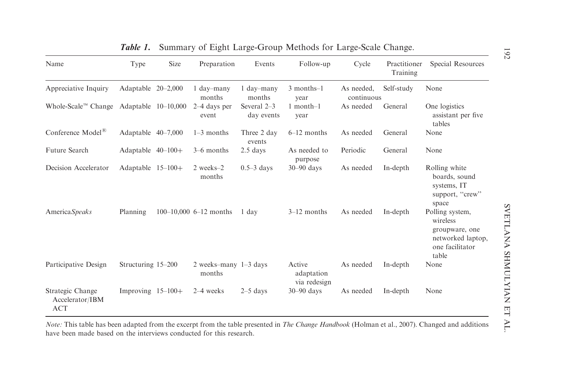<span id="page-9-0"></span>

| Name                                                   | Type                | Size | Preparation                       | Events                    | Follow-up                            | Cycle                    | Practitioner<br>Training | Special Resources                                                                              |
|--------------------------------------------------------|---------------------|------|-----------------------------------|---------------------------|--------------------------------------|--------------------------|--------------------------|------------------------------------------------------------------------------------------------|
| Appreciative Inquiry                                   | Adaptable 20-2,000  |      | $1$ day-many<br>months            | 1 day-many<br>months      | 3 months-1<br>year                   | As needed,<br>continuous | Self-study               | None                                                                                           |
| Whole-Scale <sup>TM</sup> Change Adaptable $10-10,000$ |                     |      | $2-4$ days per<br>event           | Several 2-3<br>day events | $1$ month- $1$<br>year               | As needed                | General                  | One logistics<br>assistant per five<br>tables                                                  |
| Conference $Model^{\circledR}$                         | Adaptable 40-7,000  |      | $1-3$ months                      | Three 2 day<br>events     | $6-12$ months                        | As needed                | General                  | None                                                                                           |
| Future Search                                          | Adaptable $40-100+$ |      | 3–6 months                        | $2.5$ days                | As needed to<br>purpose              | Periodic                 | General                  | None                                                                                           |
| Decision Accelerator                                   | Adaptable $15-100+$ |      | 2 weeks-2<br>months               | $0.5-3$ days              | $30 - 90$ days                       | As needed                | In-depth                 | Rolling white<br>boards, sound<br>systems, IT<br>support, "crew"<br>space                      |
| AmericaSpeaks                                          | Planning            |      | $100-10,000$ 6-12 months          | 1 day                     | $3-12$ months                        | As needed                | In-depth                 | Polling system,<br>wireless<br>groupware, one<br>networked laptop,<br>one facilitator<br>table |
| Participative Design                                   | Structuring 15-200  |      | 2 weeks-many $1-3$ days<br>months |                           | Active<br>adaptation<br>via redesign | As needed                | In-depth                 | None                                                                                           |
| Strategic Change<br>Accelerator/IBM<br><b>ACT</b>      | Improving $15-100+$ |      | $2-4$ weeks                       | $2-5$ days                | $30 - 90$ days                       | As needed                | In-depth                 | None                                                                                           |

Table 1. Summary of Eight Large-Group Methods for Large-Scale Change.

Note: This table has been adapted from the excerpt from the table presented in *The Change Handbook* (Holman et al., 2007). Changed and additions have been made based on the interviews conducted for this research.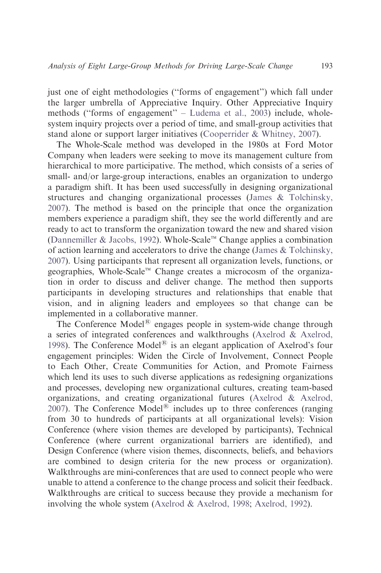just one of eight methodologies (''forms of engagement'') which fall under the larger umbrella of Appreciative Inquiry. Other Appreciative Inquiry methods ("forms of engagement" – [Ludema et al., 2003](#page-44-0)) include, wholesystem inquiry projects over a period of time, and small-group activities that stand alone or support larger initiatives [\(Cooperrider & Whitney, 2007\)](#page-43-0).

The Whole-Scale method was developed in the 1980s at Ford Motor Company when leaders were seeking to move its management culture from hierarchical to more participative. The method, which consists of a series of small- and/or large-group interactions, enables an organization to undergo a paradigm shift. It has been used successfully in designing organizational structures and changing organizational processes [\(James & Tolchinsky,](#page-44-0) [2007\)](#page-44-0). The method is based on the principle that once the organization members experience a paradigm shift, they see the world differently and are ready to act to transform the organization toward the new and shared vision [\(Dannemiller & Jacobs, 1992\)](#page-43-0). Whole-Scale<sup> $M$ </sup> Change applies a combination of action learning and accelerators to drive the change ([James & Tolchinsky,](#page-44-0) [2007\)](#page-44-0). Using participants that represent all organization levels, functions, or geographies, Whole-Scale™ Change creates a microcosm of the organization in order to discuss and deliver change. The method then supports participants in developing structures and relationships that enable that vision, and in aligning leaders and employees so that change can be implemented in a collaborative manner.

The Conference Model<sup>®</sup> engages people in system-wide change through a series of integrated conferences and walkthroughs [\(Axelrod & Axelrod,](#page-43-0) [1998\)](#page-43-0). The Conference Model $^{\circledR}$  is an elegant application of Axelrod's four engagement principles: Widen the Circle of Involvement, Connect People to Each Other, Create Communities for Action, and Promote Fairness which lend its uses to such diverse applications as redesigning organizations and processes, developing new organizational cultures, creating team-based organizations, and creating organizational futures [\(Axelrod & Axelrod,](#page-43-0) [2007\)](#page-43-0). The Conference Model<sup>®</sup> includes up to three conferences (ranging from 30 to hundreds of participants at all organizational levels): Vision Conference (where vision themes are developed by participants), Technical Conference (where current organizational barriers are identified), and Design Conference (where vision themes, disconnects, beliefs, and behaviors are combined to design criteria for the new process or organization). Walkthroughs are mini-conferences that are used to connect people who were unable to attend a conference to the change process and solicit their feedback. Walkthroughs are critical to success because they provide a mechanism for involving the whole system [\(Axelrod & Axelrod, 1998;](#page-43-0) [Axelrod, 1992\)](#page-43-0).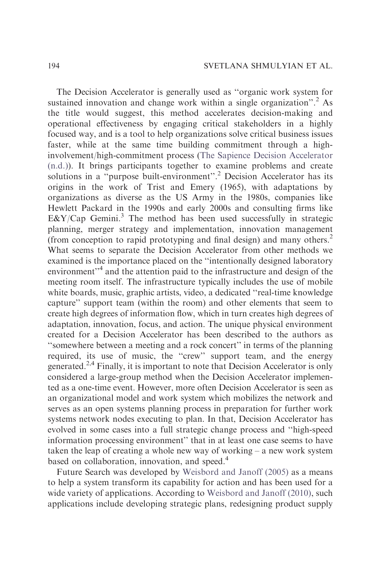The Decision Accelerator is generally used as ''organic work system for sustained innovation and change work within a single organization".<sup>2</sup> As the title would suggest, this method accelerates decision-making and operational effectiveness by engaging critical stakeholders in a highly focused way, and is a tool to help organizations solve critical business issues faster, while at the same time building commitment through a highinvolvement/high-commitment process ([The Sapience Decision Accelerator](#page-44-0) [\(n.d.\)](#page-44-0)). It brings participants together to examine problems and create solutions in a "purpose built-environment".<sup>2</sup> Decision Accelerator has its origins in the work of Trist and Emery (1965), with adaptations by organizations as diverse as the US Army in the 1980s, companies like Hewlett Packard in the 1990s and early 2000s and consulting firms like  $E\&Y/Cap$  Gemini.<sup>3</sup> The method has been used successfully in strategic planning, merger strategy and implementation, innovation management (from conception to rapid prototyping and final design) and many others.2 What seems to separate the Decision Accelerator from other methods we examined is the importance placed on the ''intentionally designed laboratory environment<sup>"4</sup> and the attention paid to the infrastructure and design of the meeting room itself. The infrastructure typically includes the use of mobile white boards, music, graphic artists, video, a dedicated ''real-time knowledge capture'' support team (within the room) and other elements that seem to create high degrees of information flow, which in turn creates high degrees of adaptation, innovation, focus, and action. The unique physical environment created for a Decision Accelerator has been described to the authors as ''somewhere between a meeting and a rock concert'' in terms of the planning required, its use of music, the ''crew'' support team, and the energy generated.<sup>2,4</sup> Finally, it is important to note that Decision Accelerator is only considered a large-group method when the Decision Accelerator implemented as a one-time event. However, more often Decision Accelerator is seen as an organizational model and work system which mobilizes the network and serves as an open systems planning process in preparation for further work systems network nodes executing to plan. In that, Decision Accelerator has evolved in some cases into a full strategic change process and ''high-speed information processing environment'' that in at least one case seems to have taken the leap of creating a whole new way of working – a new work system based on collaboration, innovation, and speed.<sup>4</sup>

Future Search was developed by [Weisbord and Janoff \(2005\)](#page-45-0) as a means to help a system transform its capability for action and has been used for a wide variety of applications. According to [Weisbord and Janoff \(2010\)](#page-45-0), such applications include developing strategic plans, redesigning product supply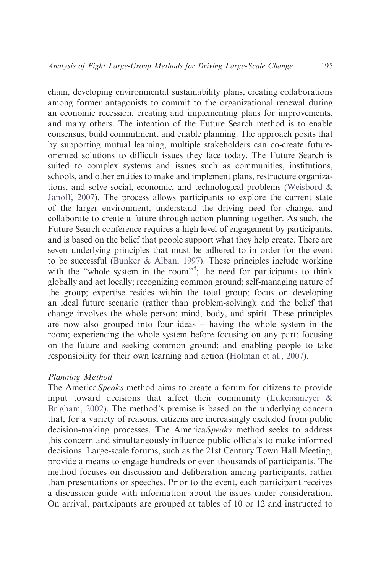chain, developing environmental sustainability plans, creating collaborations among former antagonists to commit to the organizational renewal during an economic recession, creating and implementing plans for improvements, and many others. The intention of the Future Search method is to enable consensus, build commitment, and enable planning. The approach posits that by supporting mutual learning, multiple stakeholders can co-create futureoriented solutions to difficult issues they face today. The Future Search is suited to complex systems and issues such as communities, institutions, schools, and other entities to make and implement plans, restructure organizations, and solve social, economic, and technological problems [\(Weisbord &](#page-45-0) [Janoff, 2007\)](#page-45-0). The process allows participants to explore the current state of the larger environment, understand the driving need for change, and collaborate to create a future through action planning together. As such, the Future Search conference requires a high level of engagement by participants, and is based on the belief that people support what they help create. There are seven underlying principles that must be adhered to in order for the event to be successful [\(Bunker & Alban, 1997](#page-43-0)). These principles include working with the "whole system in the room"<sup>5</sup>; the need for participants to think globally and act locally; recognizing common ground; self-managing nature of the group; expertise resides within the total group; focus on developing an ideal future scenario (rather than problem-solving); and the belief that change involves the whole person: mind, body, and spirit. These principles are now also grouped into four ideas – having the whole system in the room; experiencing the whole system before focusing on any part; focusing on the future and seeking common ground; and enabling people to take responsibility for their own learning and action ([Holman et al., 2007\)](#page-44-0).

#### Planning Method

The AmericaSpeaks method aims to create a forum for citizens to provide input toward decisions that affect their community (Lukensmeyer  $\&$ [Brigham, 2002](#page-44-0)). The method's premise is based on the underlying concern that, for a variety of reasons, citizens are increasingly excluded from public decision-making processes. The AmericaSpeaks method seeks to address this concern and simultaneously influence public officials to make informed decisions. Large-scale forums, such as the 21st Century Town Hall Meeting, provide a means to engage hundreds or even thousands of participants. The method focuses on discussion and deliberation among participants, rather than presentations or speeches. Prior to the event, each participant receives a discussion guide with information about the issues under consideration. On arrival, participants are grouped at tables of 10 or 12 and instructed to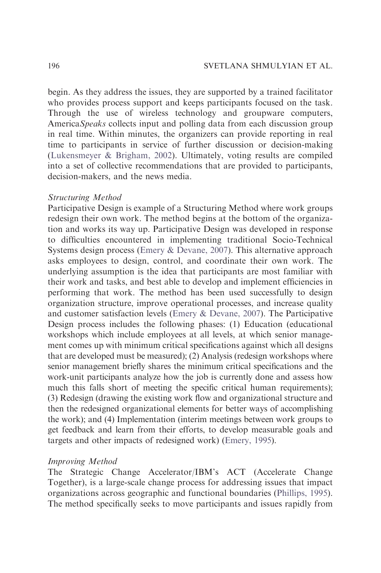begin. As they address the issues, they are supported by a trained facilitator who provides process support and keeps participants focused on the task. Through the use of wireless technology and groupware computers, America*Speaks* collects input and polling data from each discussion group in real time. Within minutes, the organizers can provide reporting in real time to participants in service of further discussion or decision-making [\(Lukensmeyer & Brigham, 2002\)](#page-44-0). Ultimately, voting results are compiled into a set of collective recommendations that are provided to participants, decision-makers, and the news media.

#### Structuring Method

Participative Design is example of a Structuring Method where work groups redesign their own work. The method begins at the bottom of the organization and works its way up. Participative Design was developed in response to difficulties encountered in implementing traditional Socio-Technical Systems design process [\(Emery & Devane, 2007](#page-44-0)). This alternative approach asks employees to design, control, and coordinate their own work. The underlying assumption is the idea that participants are most familiar with their work and tasks, and best able to develop and implement efficiencies in performing that work. The method has been used successfully to design organization structure, improve operational processes, and increase quality and customer satisfaction levels [\(Emery & Devane, 2007\)](#page-44-0). The Participative Design process includes the following phases: (1) Education (educational workshops which include employees at all levels, at which senior management comes up with minimum critical specifications against which all designs that are developed must be measured); (2) Analysis (redesign workshops where senior management briefly shares the minimum critical specifications and the work-unit participants analyze how the job is currently done and assess how much this falls short of meeting the specific critical human requirements); (3) Redesign (drawing the existing work flow and organizational structure and then the redesigned organizational elements for better ways of accomplishing the work); and (4) Implementation (interim meetings between work groups to get feedback and learn from their efforts, to develop measurable goals and targets and other impacts of redesigned work) [\(Emery, 1995](#page-43-0)).

#### Improving Method

The Strategic Change Accelerator/IBM's ACT (Accelerate Change Together), is a large-scale change process for addressing issues that impact organizations across geographic and functional boundaries [\(Phillips, 1995\)](#page-44-0). The method specifically seeks to move participants and issues rapidly from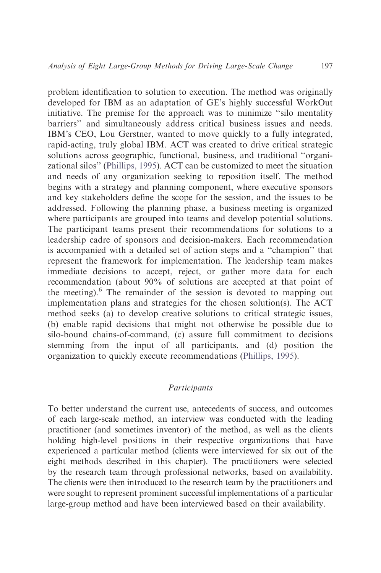problem identification to solution to execution. The method was originally developed for IBM as an adaptation of GE's highly successful WorkOut initiative. The premise for the approach was to minimize ''silo mentality barriers'' and simultaneously address critical business issues and needs. IBM's CEO, Lou Gerstner, wanted to move quickly to a fully integrated, rapid-acting, truly global IBM. ACT was created to drive critical strategic solutions across geographic, functional, business, and traditional ''organizational silos'' [\(Phillips, 1995](#page-44-0)). ACT can be customized to meet the situation and needs of any organization seeking to reposition itself. The method begins with a strategy and planning component, where executive sponsors and key stakeholders define the scope for the session, and the issues to be addressed. Following the planning phase, a business meeting is organized where participants are grouped into teams and develop potential solutions. The participant teams present their recommendations for solutions to a leadership cadre of sponsors and decision-makers. Each recommendation is accompanied with a detailed set of action steps and a ''champion'' that represent the framework for implementation. The leadership team makes immediate decisions to accept, reject, or gather more data for each recommendation (about 90% of solutions are accepted at that point of the meeting). $6$  The remainder of the session is devoted to mapping out implementation plans and strategies for the chosen solution(s). The ACT method seeks (a) to develop creative solutions to critical strategic issues, (b) enable rapid decisions that might not otherwise be possible due to silo-bound chains-of-command, (c) assure full commitment to decisions stemming from the input of all participants, and (d) position the organization to quickly execute recommendations [\(Phillips, 1995\)](#page-44-0).

#### Participants

To better understand the current use, antecedents of success, and outcomes of each large-scale method, an interview was conducted with the leading practitioner (and sometimes inventor) of the method, as well as the clients holding high-level positions in their respective organizations that have experienced a particular method (clients were interviewed for six out of the eight methods described in this chapter). The practitioners were selected by the research team through professional networks, based on availability. The clients were then introduced to the research team by the practitioners and were sought to represent prominent successful implementations of a particular large-group method and have been interviewed based on their availability.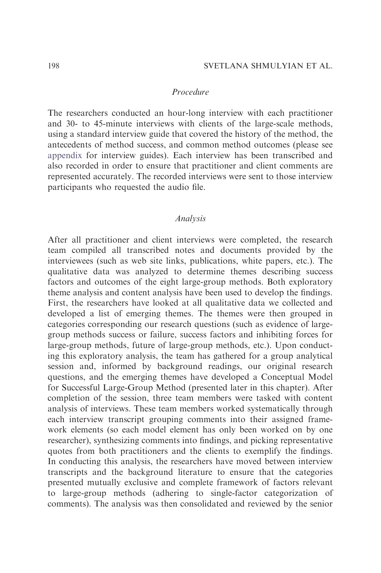#### Procedure

The researchers conducted an hour-long interview with each practitioner and 30- to 45-minute interviews with clients of the large-scale methods, using a standard interview guide that covered the history of the method, the antecedents of method success, and common method outcomes (please see appendix for interview guides). Each interview has been transcribed and also recorded in order to ensure that practitioner and client comments are represented accurately. The recorded interviews were sent to those interview participants who requested the audio file.

## Analysis

After all practitioner and client interviews were completed, the research team compiled all transcribed notes and documents provided by the interviewees (such as web site links, publications, white papers, etc.). The qualitative data was analyzed to determine themes describing success factors and outcomes of the eight large-group methods. Both exploratory theme analysis and content analysis have been used to develop the findings. First, the researchers have looked at all qualitative data we collected and developed a list of emerging themes. The themes were then grouped in categories corresponding our research questions (such as evidence of largegroup methods success or failure, success factors and inhibiting forces for large-group methods, future of large-group methods, etc.). Upon conducting this exploratory analysis, the team has gathered for a group analytical session and, informed by background readings, our original research questions, and the emerging themes have developed a Conceptual Model for Successful Large-Group Method (presented later in this chapter). After completion of the session, three team members were tasked with content analysis of interviews. These team members worked systematically through each interview transcript grouping comments into their assigned framework elements (so each model element has only been worked on by one researcher), synthesizing comments into findings, and picking representative quotes from both practitioners and the clients to exemplify the findings. In conducting this analysis, the researchers have moved between interview transcripts and the background literature to ensure that the categories presented mutually exclusive and complete framework of factors relevant to large-group methods (adhering to single-factor categorization of comments). The analysis was then consolidated and reviewed by the senior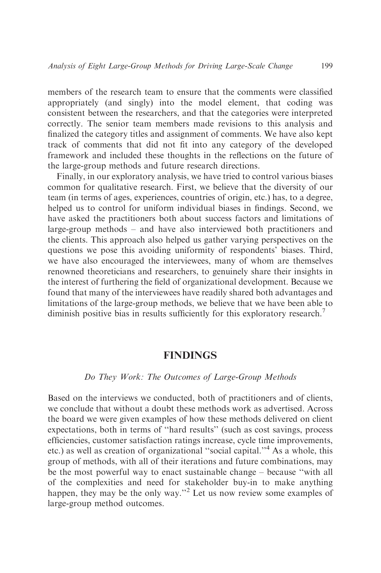members of the research team to ensure that the comments were classified appropriately (and singly) into the model element, that coding was consistent between the researchers, and that the categories were interpreted correctly. The senior team members made revisions to this analysis and finalized the category titles and assignment of comments. We have also kept track of comments that did not fit into any category of the developed framework and included these thoughts in the reflections on the future of the large-group methods and future research directions.

Finally, in our exploratory analysis, we have tried to control various biases common for qualitative research. First, we believe that the diversity of our team (in terms of ages, experiences, countries of origin, etc.) has, to a degree, helped us to control for uniform individual biases in findings. Second, we have asked the practitioners both about success factors and limitations of large-group methods – and have also interviewed both practitioners and the clients. This approach also helped us gather varying perspectives on the questions we pose this avoiding uniformity of respondents' biases. Third, we have also encouraged the interviewees, many of whom are themselves renowned theoreticians and researchers, to genuinely share their insights in the interest of furthering the field of organizational development. Because we found that many of the interviewees have readily shared both advantages and limitations of the large-group methods, we believe that we have been able to diminish positive bias in results sufficiently for this exploratory research.<sup>7</sup>

# FINDINGS

#### Do They Work: The Outcomes of Large-Group Methods

Based on the interviews we conducted, both of practitioners and of clients, we conclude that without a doubt these methods work as advertised. Across the board we were given examples of how these methods delivered on client expectations, both in terms of ''hard results'' (such as cost savings, process efficiencies, customer satisfaction ratings increase, cycle time improvements, etc.) as well as creation of organizational ''social capital.''<sup>4</sup> As a whole, this group of methods, with all of their iterations and future combinations, may be the most powerful way to enact sustainable change – because ''with all of the complexities and need for stakeholder buy-in to make anything happen, they may be the only way."<sup>2</sup> Let us now review some examples of large-group method outcomes.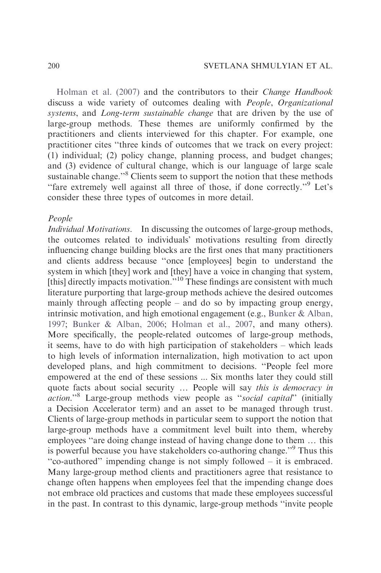[Holman et al. \(2007\)](#page-44-0) and the contributors to their Change Handbook discuss a wide variety of outcomes dealing with *People*, *Organizational* systems, and Long-term sustainable change that are driven by the use of large-group methods. These themes are uniformly confirmed by the practitioners and clients interviewed for this chapter. For example, one practitioner cites ''three kinds of outcomes that we track on every project: (1) individual; (2) policy change, planning process, and budget changes; and (3) evidence of cultural change, which is our language of large scale sustainable change."<sup>8</sup> Clients seem to support the notion that these methods ''fare extremely well against all three of those, if done correctly.''<sup>9</sup> Let's consider these three types of outcomes in more detail.

#### People

Individual Motivations. In discussing the outcomes of large-group methods, the outcomes related to individuals' motivations resulting from directly influencing change building blocks are the first ones that many practitioners and clients address because ''once [employees] begin to understand the system in which [they] work and [they] have a voice in changing that system, [this] directly impacts motivation.<sup>''10</sup> These findings are consistent with much literature purporting that large-group methods achieve the desired outcomes mainly through affecting people – and do so by impacting group energy, intrinsic motivation, and high emotional engagement (e.g., [Bunker & Alban,](#page-43-0) [1997;](#page-43-0) [Bunker & Alban, 2006](#page-43-0); [Holman et al., 2007](#page-44-0), and many others). More specifically, the people-related outcomes of large-group methods, it seems, have to do with high participation of stakeholders – which leads to high levels of information internalization, high motivation to act upon developed plans, and high commitment to decisions. ''People feel more empowered at the end of these sessions ... Six months later they could still quote facts about social security ... People will say this is democracy in action."<sup>8</sup> Large-group methods view people as "social capital" (initially a Decision Accelerator term) and an asset to be managed through trust. Clients of large-group methods in particular seem to support the notion that large-group methods have a commitment level built into them, whereby employees "are doing change instead of having change done to them  $\ldots$  this is powerful because you have stakeholders co-authoring change.''9 Thus this ''co-authored'' impending change is not simply followed – it is embraced. Many large-group method clients and practitioners agree that resistance to change often happens when employees feel that the impending change does not embrace old practices and customs that made these employees successful in the past. In contrast to this dynamic, large-group methods ''invite people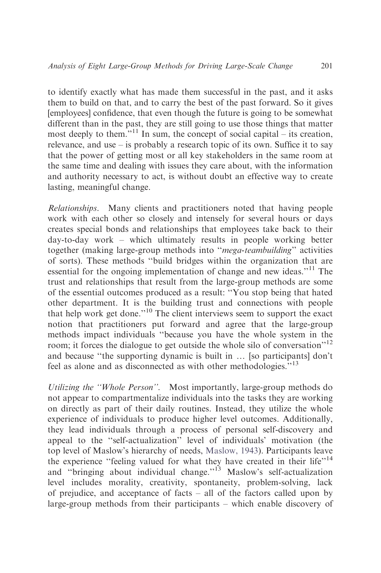to identify exactly what has made them successful in the past, and it asks them to build on that, and to carry the best of the past forward. So it gives [employees] confidence, that even though the future is going to be somewhat different than in the past, they are still going to use those things that matter most deeply to them. $^{11}$  In sum, the concept of social capital – its creation, relevance, and use – is probably a research topic of its own. Suffice it to say that the power of getting most or all key stakeholders in the same room at the same time and dealing with issues they care about, with the information and authority necessary to act, is without doubt an effective way to create lasting, meaningful change.

Relationships. Many clients and practitioners noted that having people work with each other so closely and intensely for several hours or days creates special bonds and relationships that employees take back to their day-to-day work – which ultimately results in people working better together (making large-group methods into ''mega-teambuilding'' activities of sorts). These methods ''build bridges within the organization that are essential for the ongoing implementation of change and new ideas.<sup>"11</sup> The trust and relationships that result from the large-group methods are some of the essential outcomes produced as a result: ''You stop being that hated other department. It is the building trust and connections with people that help work get done.''<sup>10</sup> The client interviews seem to support the exact notion that practitioners put forward and agree that the large-group methods impact individuals ''because you have the whole system in the room; it forces the dialogue to get outside the whole silo of conversation''<sup>12</sup> and because "the supporting dynamic is built in ... [so participants] don't feel as alone and as disconnected as with other methodologies.<sup>7,13</sup>

Utilizing the ''Whole Person''. Most importantly, large-group methods do not appear to compartmentalize individuals into the tasks they are working on directly as part of their daily routines. Instead, they utilize the whole experience of individuals to produce higher level outcomes. Additionally, they lead individuals through a process of personal self-discovery and appeal to the ''self-actualization'' level of individuals' motivation (the top level of Maslow's hierarchy of needs, [Maslow, 1943](#page-44-0)). Participants leave the experience "feeling valued for what they have created in their life"<sup>14</sup> and ''bringing about individual change.''13 Maslow's self-actualization level includes morality, creativity, spontaneity, problem-solving, lack of prejudice, and acceptance of facts – all of the factors called upon by large-group methods from their participants – which enable discovery of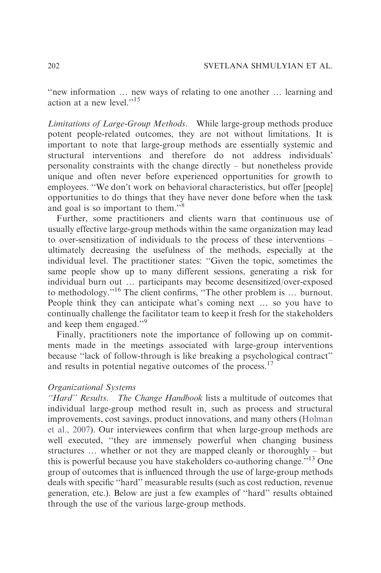"new information  $\ldots$  new ways of relating to one another  $\ldots$  learning and action at a new level<sup>"15</sup>

Limitations of Large-Group Methods. While large-group methods produce potent people-related outcomes, they are not without limitations. It is important to note that large-group methods are essentially systemic and structural interventions and therefore do not address individuals' personality constraints with the change directly – but nonetheless provide unique and often never before experienced opportunities for growth to employees. ''We don't work on behavioral characteristics, but offer [people] opportunities to do things that they have never done before when the task and goal is so important to them.''<sup>8</sup>

Further, some practitioners and clients warn that continuous use of usually effective large-group methods within the same organization may lead to over-sensitization of individuals to the process of these interventions – ultimately decreasing the usefulness of the methods, especially at the individual level. The practitioner states: ''Given the topic, sometimes the same people show up to many different sessions, generating a risk for individual burn out ... participants may become desensitized/over-exposed to methodology."<sup>16</sup> The client confirms, "The other problem is  $\ldots$  burnout. People think they can anticipate what's coming next ... so you have to continually challenge the facilitator team to keep it fresh for the stakeholders and keep them engaged."<sup>9</sup>

Finally, practitioners note the importance of following up on commitments made in the meetings associated with large-group interventions because ''lack of follow-through is like breaking a psychological contract'' and results in potential negative outcomes of the process.<sup>17</sup>

## Organizational Systems

''Hard'' Results. The Change Handbook lists a multitude of outcomes that individual large-group method result in, such as process and structural improvements, cost savings, product innovations, and many others ([Holman](#page-44-0) [et al., 2007](#page-44-0)). Our interviewees confirm that when large-group methods are well executed, "they are immensely powerful when changing business structures  $\ldots$  whether or not they are mapped cleanly or thoroughly – but this is powerful because you have stakeholders co-authoring change.<sup>"13</sup> One group of outcomes that is influenced through the use of large-group methods deals with specific ''hard'' measurable results (such as cost reduction, revenue generation, etc.). Below are just a few examples of ''hard'' results obtained through the use of the various large-group methods.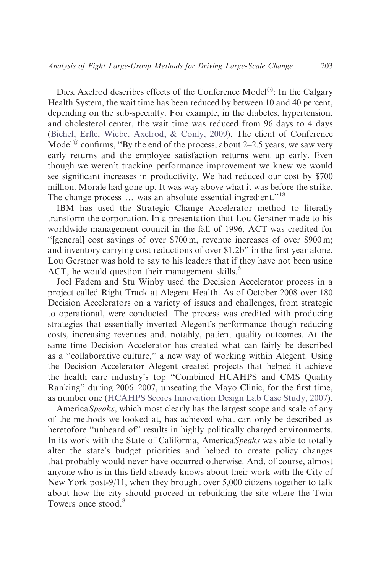Dick Axelrod describes effects of the Conference Model<sup>®</sup>: In the Calgary Health System, the wait time has been reduced by between 10 and 40 percent, depending on the sub-specialty. For example, in the diabetes, hypertension, and cholesterol center, the wait time was reduced from 96 days to 4 days [\(Bichel, Erfle, Wiebe, Axelrod, & Conly, 2009](#page-43-0)). The client of Conference Model<sup>®</sup> confirms, "By the end of the process, about 2–2.5 years, we saw very early returns and the employee satisfaction returns went up early. Even though we weren't tracking performance improvement we knew we would see significant increases in productivity. We had reduced our cost by \$700 million. Morale had gone up. It was way above what it was before the strike. The change process  $\ldots$  was an absolute essential ingredient."<sup>18</sup>

IBM has used the Strategic Change Accelerator method to literally transform the corporation. In a presentation that Lou Gerstner made to his worldwide management council in the fall of 1996, ACT was credited for ''[general] cost savings of over \$700 m, revenue increases of over \$900 m; and inventory carrying cost reductions of over \$1.2b'' in the first year alone. Lou Gerstner was hold to say to his leaders that if they have not been using ACT, he would question their management skills.<sup>6</sup>

Joel Fadem and Stu Winby used the Decision Accelerator process in a project called Right Track at Alegent Health. As of October 2008 over 180 Decision Accelerators on a variety of issues and challenges, from strategic to operational, were conducted. The process was credited with producing strategies that essentially inverted Alegent's performance though reducing costs, increasing revenues and, notably, patient quality outcomes. At the same time Decision Accelerator has created what can fairly be described as a ''collaborative culture,'' a new way of working within Alegent. Using the Decision Accelerator Alegent created projects that helped it achieve the health care industry's top ''Combined HCAHPS and CMS Quality Ranking'' during 2006–2007, unseating the Mayo Clinic, for the first time, as number one ([HCAHPS Scores Innovation Design Lab Case Study, 2007\)](#page-44-0).

AmericaSpeaks, which most clearly has the largest scope and scale of any of the methods we looked at, has achieved what can only be described as heretofore "unheard of" results in highly politically charged environments. In its work with the State of California, America Speaks was able to totally alter the state's budget priorities and helped to create policy changes that probably would never have occurred otherwise. And, of course, almost anyone who is in this field already knows about their work with the City of New York post-9/11, when they brought over 5,000 citizens together to talk about how the city should proceed in rebuilding the site where the Twin Towers once stood.<sup>8</sup>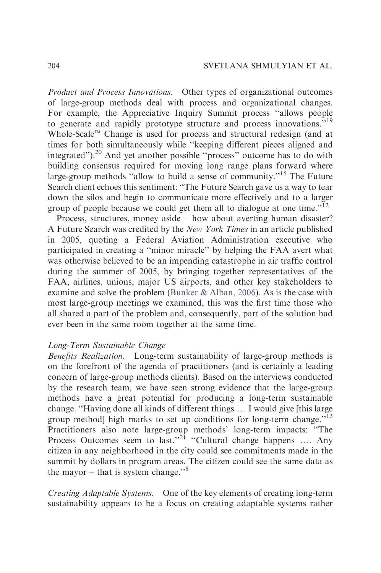Product and Process Innovations. Other types of organizational outcomes of large-group methods deal with process and organizational changes. For example, the Appreciative Inquiry Summit process ''allows people to generate and rapidly prototype structure and process innovations.''19 Whole-Scale<sup>TM</sup> Change is used for process and structural redesign (and at times for both simultaneously while ''keeping different pieces aligned and integrated'').20 And yet another possible ''process'' outcome has to do with building consensus required for moving long range plans forward where large-group methods "allow to build a sense of community."<sup>15</sup> The Future Search client echoes this sentiment: ''The Future Search gave us a way to tear down the silos and begin to communicate more effectively and to a larger group of people because we could get them all to dialogue at one time."<sup>12</sup>

Process, structures, money aside – how about averting human disaster? A Future Search was credited by the New York Times in an article published in 2005, quoting a Federal Aviation Administration executive who participated in creating a ''minor miracle'' by helping the FAA avert what was otherwise believed to be an impending catastrophe in air traffic control during the summer of 2005, by bringing together representatives of the FAA, airlines, unions, major US airports, and other key stakeholders to examine and solve the problem ([Bunker & Alban, 2006](#page-43-0)). As is the case with most large-group meetings we examined, this was the first time those who all shared a part of the problem and, consequently, part of the solution had ever been in the same room together at the same time.

#### Long-Term Sustainable Change

Benefits Realization. Long-term sustainability of large-group methods is on the forefront of the agenda of practitioners (and is certainly a leading concern of large-group methods clients). Based on the interviews conducted by the research team, we have seen strong evidence that the large-group methods have a great potential for producing a long-term sustainable change. "Having done all kinds of different things ... I would give [this large] group method] high marks to set up conditions for long-term change.<sup>''13</sup> Practitioners also note large-group methods' long-term impacts: ''The Process Outcomes seem to last."<sup>21</sup> "Cultural change happens .... Any citizen in any neighborhood in the city could see commitments made in the summit by dollars in program areas. The citizen could see the same data as the mayor – that is system change." $8$ 

Creating Adaptable Systems. One of the key elements of creating long-term sustainability appears to be a focus on creating adaptable systems rather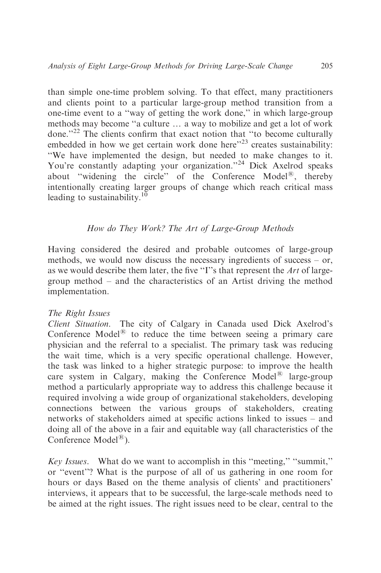than simple one-time problem solving. To that effect, many practitioners and clients point to a particular large-group method transition from a one-time event to a ''way of getting the work done,'' in which large-group methods may become "a culture  $\ldots$  a way to mobilize and get a lot of work done.''<sup>22</sup> The clients confirm that exact notion that ''to become culturally embedded in how we get certain work done here<sup>"23</sup> creates sustainability: ''We have implemented the design, but needed to make changes to it. You're constantly adapting your organization."<sup>24</sup> Dick Axelrod speaks about "widening the circle" of the Conference Model $<sup>®</sup>$ , thereby</sup> intentionally creating larger groups of change which reach critical mass leading to sustainability.<sup>10</sup>

# How do They Work? The Art of Large-Group Methods

Having considered the desired and probable outcomes of large-group methods, we would now discuss the necessary ingredients of success – or, as we would describe them later, the five "I"s that represent the  $Art$  of largegroup method – and the characteristics of an Artist driving the method implementation.

## The Right Issues

Client Situation. The city of Calgary in Canada used Dick Axelrod's Conference  $Model^{\circledR}$  to reduce the time between seeing a primary care physician and the referral to a specialist. The primary task was reducing the wait time, which is a very specific operational challenge. However, the task was linked to a higher strategic purpose: to improve the health care system in Calgary, making the Conference Model<sup>®</sup> large-group method a particularly appropriate way to address this challenge because it required involving a wide group of organizational stakeholders, developing connections between the various groups of stakeholders, creating networks of stakeholders aimed at specific actions linked to issues – and doing all of the above in a fair and equitable way (all characteristics of the Conference  $Model^{(B)}$ .

Key Issues. What do we want to accomplish in this ''meeting,'' ''summit,'' or ''event''? What is the purpose of all of us gathering in one room for hours or days Based on the theme analysis of clients' and practitioners' interviews, it appears that to be successful, the large-scale methods need to be aimed at the right issues. The right issues need to be clear, central to the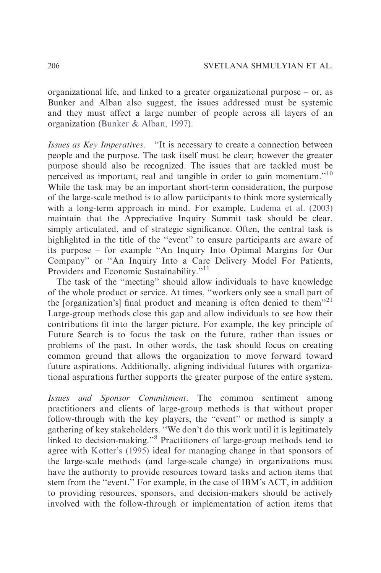organizational life, and linked to a greater organizational purpose – or, as Bunker and Alban also suggest, the issues addressed must be systemic and they must affect a large number of people across all layers of an organization ([Bunker & Alban, 1997\)](#page-43-0).

Issues as Key Imperatives. ''It is necessary to create a connection between people and the purpose. The task itself must be clear; however the greater purpose should also be recognized. The issues that are tackled must be perceived as important, real and tangible in order to gain momentum.''<sup>10</sup> While the task may be an important short-term consideration, the purpose of the large-scale method is to allow participants to think more systemically with a long-term approach in mind. For example, [Ludema et al. \(2003\)](#page-44-0) maintain that the Appreciative Inquiry Summit task should be clear, simply articulated, and of strategic significance. Often, the central task is highlighted in the title of the ''event'' to ensure participants are aware of its purpose – for example ''An Inquiry Into Optimal Margins for Our Company'' or ''An Inquiry Into a Care Delivery Model For Patients, Providers and Economic Sustainability."<sup>11</sup>

The task of the ''meeting'' should allow individuals to have knowledge of the whole product or service. At times, ''workers only see a small part of the [organization's] final product and meaning is often denied to them<sup> $21$ </sup> Large-group methods close this gap and allow individuals to see how their contributions fit into the larger picture. For example, the key principle of Future Search is to focus the task on the future, rather than issues or problems of the past. In other words, the task should focus on creating common ground that allows the organization to move forward toward future aspirations. Additionally, aligning individual futures with organizational aspirations further supports the greater purpose of the entire system.

Issues and Sponsor Commitment. The common sentiment among practitioners and clients of large-group methods is that without proper follow-through with the key players, the ''event'' or method is simply a gathering of key stakeholders. ''We don't do this work until it is legitimately linked to decision-making.''<sup>8</sup> Practitioners of large-group methods tend to agree with [Kotter's \(1995\)](#page-44-0) ideal for managing change in that sponsors of the large-scale methods (and large-scale change) in organizations must have the authority to provide resources toward tasks and action items that stem from the ''event.'' For example, in the case of IBM's ACT, in addition to providing resources, sponsors, and decision-makers should be actively involved with the follow-through or implementation of action items that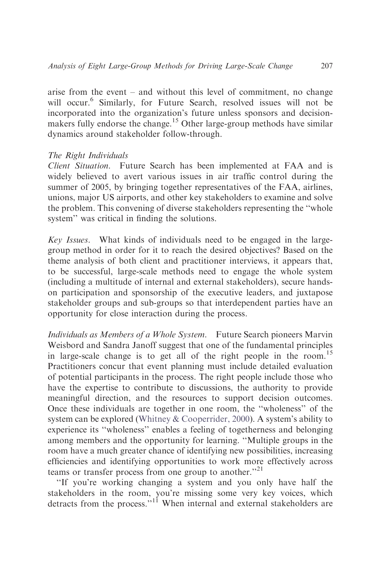arise from the event – and without this level of commitment, no change will occur.<sup>6</sup> Similarly, for Future Search, resolved issues will not be incorporated into the organization's future unless sponsors and decisionmakers fully endorse the change.<sup>15</sup> Other large-group methods have similar dynamics around stakeholder follow-through.

## The Right Individuals

Client Situation. Future Search has been implemented at FAA and is widely believed to avert various issues in air traffic control during the summer of 2005, by bringing together representatives of the FAA, airlines, unions, major US airports, and other key stakeholders to examine and solve the problem. This convening of diverse stakeholders representing the ''whole system'' was critical in finding the solutions.

Key Issues. What kinds of individuals need to be engaged in the largegroup method in order for it to reach the desired objectives? Based on the theme analysis of both client and practitioner interviews, it appears that, to be successful, large-scale methods need to engage the whole system (including a multitude of internal and external stakeholders), secure handson participation and sponsorship of the executive leaders, and juxtapose stakeholder groups and sub-groups so that interdependent parties have an opportunity for close interaction during the process.

Individuals as Members of a Whole System. Future Search pioneers Marvin Weisbord and Sandra Janoff suggest that one of the fundamental principles in large-scale change is to get all of the right people in the room.<sup>15</sup> Practitioners concur that event planning must include detailed evaluation of potential participants in the process. The right people include those who have the expertise to contribute to discussions, the authority to provide meaningful direction, and the resources to support decision outcomes. Once these individuals are together in one room, the ''wholeness'' of the system can be explored ([Whitney & Cooperrider, 2000\)](#page-45-0). A system's ability to experience its ''wholeness'' enables a feeling of togetherness and belonging among members and the opportunity for learning. ''Multiple groups in the room have a much greater chance of identifying new possibilities, increasing efficiencies and identifying opportunities to work more effectively across teams or transfer process from one group to another."<sup>21</sup>

''If you're working changing a system and you only have half the stakeholders in the room, you're missing some very key voices, which detracts from the process."<sup>11</sup> When internal and external stakeholders are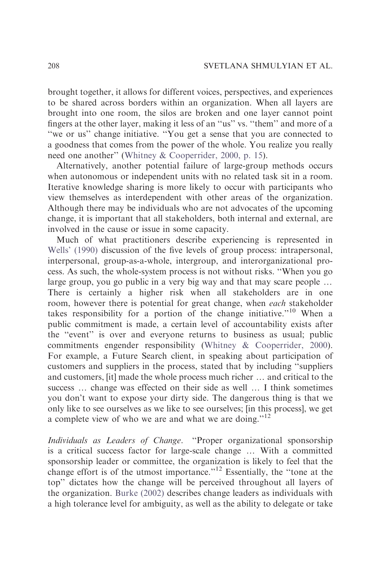brought together, it allows for different voices, perspectives, and experiences to be shared across borders within an organization. When all layers are brought into one room, the silos are broken and one layer cannot point fingers at the other layer, making it less of an ''us'' vs. ''them'' and more of a ''we or us'' change initiative. ''You get a sense that you are connected to a goodness that comes from the power of the whole. You realize you really need one another'' ([Whitney & Cooperrider, 2000, p. 15](#page-45-0)).

Alternatively, another potential failure of large-group methods occurs when autonomous or independent units with no related task sit in a room. Iterative knowledge sharing is more likely to occur with participants who view themselves as interdependent with other areas of the organization. Although there may be individuals who are not advocates of the upcoming change, it is important that all stakeholders, both internal and external, are involved in the cause or issue in some capacity.

Much of what practitioners describe experiencing is represented in [Wells' \(1990\)](#page-45-0) discussion of the five levels of group process: intrapersonal, interpersonal, group-as-a-whole, intergroup, and interorganizational process. As such, the whole-system process is not without risks. ''When you go large group, you go public in a very big way and that may scare people  $\ldots$ There is certainly a higher risk when all stakeholders are in one room, however there is potential for great change, when *each* stakeholder takes responsibility for a portion of the change initiative.''<sup>10</sup> When a public commitment is made, a certain level of accountability exists after the ''event'' is over and everyone returns to business as usual; public commitments engender responsibility [\(Whitney & Cooperrider, 2000\)](#page-45-0). For example, a Future Search client, in speaking about participation of customers and suppliers in the process, stated that by including ''suppliers and customers, [it] made the whole process much richer  $\ldots$  and critical to the success ... change was effected on their side as well ... I think sometimes you don't want to expose your dirty side. The dangerous thing is that we only like to see ourselves as we like to see ourselves; [in this process], we get a complete view of who we are and what we are doing."<sup>12</sup>

Individuals as Leaders of Change. ''Proper organizational sponsorship is a critical success factor for large-scale change  $\ldots$  With a committed sponsorship leader or committee, the organization is likely to feel that the change effort is of the utmost importance.''<sup>12</sup> Essentially, the ''tone at the top'' dictates how the change will be perceived throughout all layers of the organization. [Burke \(2002\)](#page-43-0) describes change leaders as individuals with a high tolerance level for ambiguity, as well as the ability to delegate or take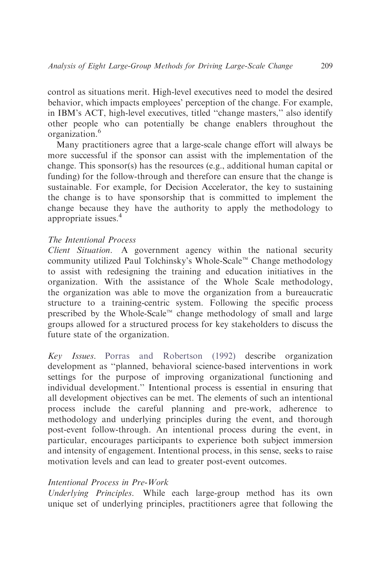control as situations merit. High-level executives need to model the desired behavior, which impacts employees' perception of the change. For example, in IBM's ACT, high-level executives, titled ''change masters,'' also identify other people who can potentially be change enablers throughout the organization.<sup>6</sup>

Many practitioners agree that a large-scale change effort will always be more successful if the sponsor can assist with the implementation of the change. This sponsor(s) has the resources (e.g., additional human capital or funding) for the follow-through and therefore can ensure that the change is sustainable. For example, for Decision Accelerator, the key to sustaining the change is to have sponsorship that is committed to implement the change because they have the authority to apply the methodology to appropriate issues.<sup>4</sup>

## The Intentional Process

Client Situation. A government agency within the national security community utilized Paul Tolchinsky's Whole-Scale<sup>TM</sup> Change methodology to assist with redesigning the training and education initiatives in the organization. With the assistance of the Whole Scale methodology, the organization was able to move the organization from a bureaucratic structure to a training-centric system. Following the specific process prescribed by the Whole-Scale<sup> $M$ </sup> change methodology of small and large groups allowed for a structured process for key stakeholders to discuss the future state of the organization.

Key Issues. [Porras and Robertson \(1992\)](#page-44-0) describe organization development as ''planned, behavioral science-based interventions in work settings for the purpose of improving organizational functioning and individual development.'' Intentional process is essential in ensuring that all development objectives can be met. The elements of such an intentional process include the careful planning and pre-work, adherence to methodology and underlying principles during the event, and thorough post-event follow-through. An intentional process during the event, in particular, encourages participants to experience both subject immersion and intensity of engagement. Intentional process, in this sense, seeks to raise motivation levels and can lead to greater post-event outcomes.

## Intentional Process in Pre-Work

Underlying Principles. While each large-group method has its own unique set of underlying principles, practitioners agree that following the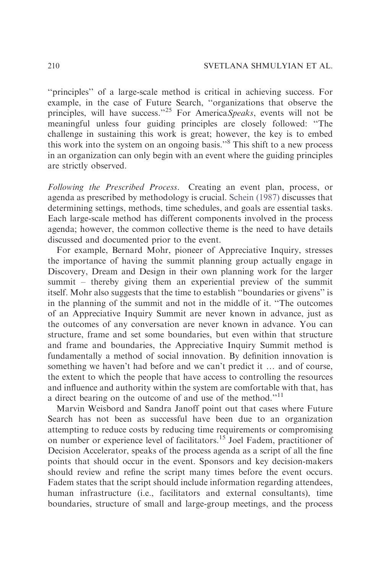''principles'' of a large-scale method is critical in achieving success. For example, in the case of Future Search, ''organizations that observe the principles, will have success."<sup>25</sup> For AmericaSpeaks, events will not be meaningful unless four guiding principles are closely followed: ''The challenge in sustaining this work is great; however, the key is to embed this work into the system on an ongoing basis.''<sup>8</sup> This shift to a new process in an organization can only begin with an event where the guiding principles are strictly observed.

Following the Prescribed Process. Creating an event plan, process, or agenda as prescribed by methodology is crucial. [Schein \(1987\)](#page-44-0) discusses that determining settings, methods, time schedules, and goals are essential tasks. Each large-scale method has different components involved in the process agenda; however, the common collective theme is the need to have details discussed and documented prior to the event.

For example, Bernard Mohr, pioneer of Appreciative Inquiry, stresses the importance of having the summit planning group actually engage in Discovery, Dream and Design in their own planning work for the larger summit – thereby giving them an experiential preview of the summit itself. Mohr also suggests that the time to establish ''boundaries or givens'' is in the planning of the summit and not in the middle of it. ''The outcomes of an Appreciative Inquiry Summit are never known in advance, just as the outcomes of any conversation are never known in advance. You can structure, frame and set some boundaries, but even within that structure and frame and boundaries, the Appreciative Inquiry Summit method is fundamentally a method of social innovation. By definition innovation is something we haven't had before and we can't predict it ... and of course, the extent to which the people that have access to controlling the resources and influence and authority within the system are comfortable with that, has a direct bearing on the outcome of and use of the method."<sup>11</sup>

Marvin Weisbord and Sandra Janoff point out that cases where Future Search has not been as successful have been due to an organization attempting to reduce costs by reducing time requirements or compromising on number or experience level of facilitators.<sup>15</sup> Joel Fadem, practitioner of Decision Accelerator, speaks of the process agenda as a script of all the fine points that should occur in the event. Sponsors and key decision-makers should review and refine the script many times before the event occurs. Fadem states that the script should include information regarding attendees, human infrastructure (i.e., facilitators and external consultants), time boundaries, structure of small and large-group meetings, and the process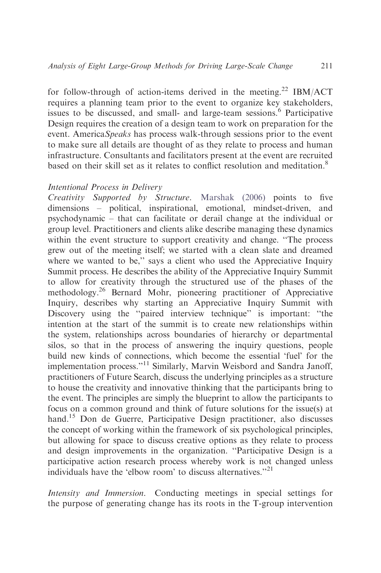for follow-through of action-items derived in the meeting.<sup>22</sup> IBM/ACT requires a planning team prior to the event to organize key stakeholders, issues to be discussed, and small- and large-team sessions.<sup>6</sup> Participative Design requires the creation of a design team to work on preparation for the event. AmericaSpeaks has process walk-through sessions prior to the event to make sure all details are thought of as they relate to process and human infrastructure. Consultants and facilitators present at the event are recruited based on their skill set as it relates to conflict resolution and meditation.<sup>8</sup>

## Intentional Process in Delivery

Creativity Supported by Structure. [Marshak \(2006\)](#page-44-0) points to five dimensions – political, inspirational, emotional, mindset-driven, and psychodynamic – that can facilitate or derail change at the individual or group level. Practitioners and clients alike describe managing these dynamics within the event structure to support creativity and change. ''The process grew out of the meeting itself; we started with a clean slate and dreamed where we wanted to be," says a client who used the Appreciative Inquiry Summit process. He describes the ability of the Appreciative Inquiry Summit to allow for creativity through the structured use of the phases of the methodology.26 Bernard Mohr, pioneering practitioner of Appreciative Inquiry, describes why starting an Appreciative Inquiry Summit with Discovery using the ''paired interview technique'' is important: ''the intention at the start of the summit is to create new relationships within the system, relationships across boundaries of hierarchy or departmental silos, so that in the process of answering the inquiry questions, people build new kinds of connections, which become the essential 'fuel' for the implementation process."<sup>11</sup> Similarly, Marvin Weisbord and Sandra Janoff, practitioners of Future Search, discuss the underlying principles as a structure to house the creativity and innovative thinking that the participants bring to the event. The principles are simply the blueprint to allow the participants to focus on a common ground and think of future solutions for the issue(s) at hand.<sup>15</sup> Don de Guerre, Participative Design practitioner, also discusses the concept of working within the framework of six psychological principles, but allowing for space to discuss creative options as they relate to process and design improvements in the organization. ''Participative Design is a participative action research process whereby work is not changed unless individuals have the 'elbow room' to discuss alternatives."<sup>21</sup>

Intensity and Immersion. Conducting meetings in special settings for the purpose of generating change has its roots in the T-group intervention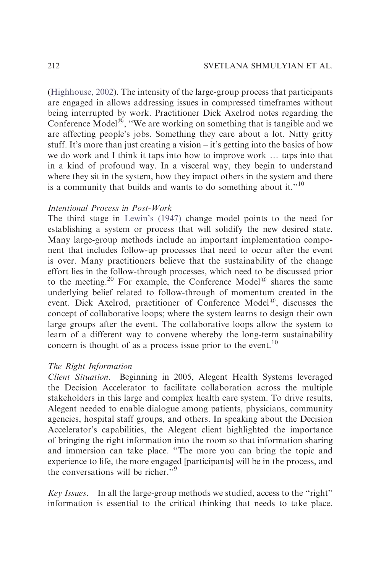[\(Highhouse, 2002\)](#page-44-0). The intensity of the large-group process that participants are engaged in allows addressing issues in compressed timeframes without being interrupted by work. Practitioner Dick Axelrod notes regarding the Conference Model<sup>®</sup>, "We are working on something that is tangible and we are affecting people's jobs. Something they care about a lot. Nitty gritty stuff. It's more than just creating a vision – it's getting into the basics of how we do work and I think it taps into how to improve work  $\ldots$  taps into that in a kind of profound way. In a visceral way, they begin to understand where they sit in the system, how they impact others in the system and there is a community that builds and wants to do something about it.<sup> $10$ </sup>

## Intentional Process in Post-Work

The third stage in [Lewin's \(1947\)](#page-44-0) change model points to the need for establishing a system or process that will solidify the new desired state. Many large-group methods include an important implementation component that includes follow-up processes that need to occur after the event is over. Many practitioners believe that the sustainability of the change effort lies in the follow-through processes, which need to be discussed prior to the meeting.<sup>20</sup> For example, the Conference Model<sup>®</sup> shares the same underlying belief related to follow-through of momentum created in the event. Dick Axelrod, practitioner of Conference Model<sup>®</sup>, discusses the concept of collaborative loops; where the system learns to design their own large groups after the event. The collaborative loops allow the system to learn of a different way to convene whereby the long-term sustainability concern is thought of as a process issue prior to the event.<sup>10</sup>

#### The Right Information

Client Situation. Beginning in 2005, Alegent Health Systems leveraged the Decision Accelerator to facilitate collaboration across the multiple stakeholders in this large and complex health care system. To drive results, Alegent needed to enable dialogue among patients, physicians, community agencies, hospital staff groups, and others. In speaking about the Decision Accelerator's capabilities, the Alegent client highlighted the importance of bringing the right information into the room so that information sharing and immersion can take place. ''The more you can bring the topic and experience to life, the more engaged [participants] will be in the process, and the conversations will be richer.''<sup>9</sup>

Key Issues. In all the large-group methods we studied, access to the ''right'' information is essential to the critical thinking that needs to take place.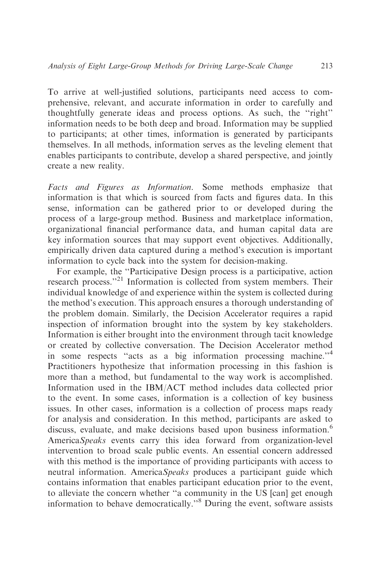To arrive at well-justified solutions, participants need access to comprehensive, relevant, and accurate information in order to carefully and thoughtfully generate ideas and process options. As such, the ''right'' information needs to be both deep and broad. Information may be supplied to participants; at other times, information is generated by participants themselves. In all methods, information serves as the leveling element that enables participants to contribute, develop a shared perspective, and jointly create a new reality.

Facts and Figures as Information. Some methods emphasize that information is that which is sourced from facts and figures data. In this sense, information can be gathered prior to or developed during the process of a large-group method. Business and marketplace information, organizational financial performance data, and human capital data are key information sources that may support event objectives. Additionally, empirically driven data captured during a method's execution is important information to cycle back into the system for decision-making.

For example, the ''Participative Design process is a participative, action research process."<sup>21</sup> Information is collected from system members. Their individual knowledge of and experience within the system is collected during the method's execution. This approach ensures a thorough understanding of the problem domain. Similarly, the Decision Accelerator requires a rapid inspection of information brought into the system by key stakeholders. Information is either brought into the environment through tacit knowledge or created by collective conversation. The Decision Accelerator method in some respects ''acts as a big information processing machine.''<sup>4</sup> Practitioners hypothesize that information processing in this fashion is more than a method, but fundamental to the way work is accomplished. Information used in the IBM/ACT method includes data collected prior to the event. In some cases, information is a collection of key business issues. In other cases, information is a collection of process maps ready for analysis and consideration. In this method, participants are asked to discuss, evaluate, and make decisions based upon business information.<sup>6</sup> AmericaSpeaks events carry this idea forward from organization-level intervention to broad scale public events. An essential concern addressed with this method is the importance of providing participants with access to neutral information. AmericaSpeaks produces a participant guide which contains information that enables participant education prior to the event, to alleviate the concern whether ''a community in the US [can] get enough information to behave democratically.''<sup>8</sup> During the event, software assists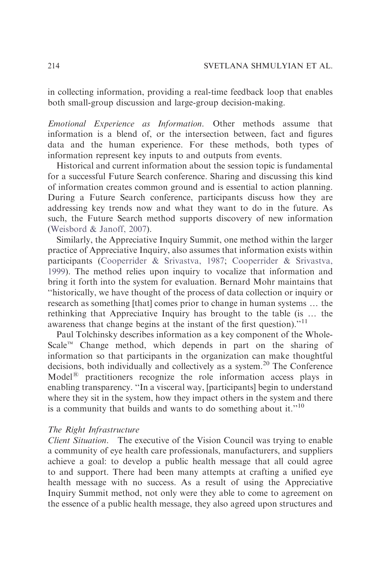in collecting information, providing a real-time feedback loop that enables both small-group discussion and large-group decision-making.

Emotional Experience as Information. Other methods assume that information is a blend of, or the intersection between, fact and figures data and the human experience. For these methods, both types of information represent key inputs to and outputs from events.

Historical and current information about the session topic is fundamental for a successful Future Search conference. Sharing and discussing this kind of information creates common ground and is essential to action planning. During a Future Search conference, participants discuss how they are addressing key trends now and what they want to do in the future. As such, the Future Search method supports discovery of new information [\(Weisbord & Janoff, 2007\)](#page-45-0).

Similarly, the Appreciative Inquiry Summit, one method within the larger practice of Appreciative Inquiry, also assumes that information exists within participants [\(Cooperrider & Srivastva, 1987](#page-43-0); [Cooperrider & Srivastva,](#page-43-0) [1999\)](#page-43-0). The method relies upon inquiry to vocalize that information and bring it forth into the system for evaluation. Bernard Mohr maintains that ''historically, we have thought of the process of data collection or inquiry or research as something [that] comes prior to change in human systems ... the rethinking that Appreciative Inquiry has brought to the table (is  $\ldots$  the awareness that change begins at the instant of the first question).<sup>''11</sup>

Paul Tolchinsky describes information as a key component of the Whole-Scale<sup> $M$ </sup> Change method, which depends in part on the sharing of information so that participants in the organization can make thoughtful decisions, both individually and collectively as a system.<sup>20</sup> The Conference  $Model^{\circledR}$  practitioners recognize the role information access plays in enabling transparency. ''In a visceral way, [participants] begin to understand where they sit in the system, how they impact others in the system and there is a community that builds and wants to do something about it."<sup>10</sup>

#### The Right Infrastructure

Client Situation. The executive of the Vision Council was trying to enable a community of eye health care professionals, manufacturers, and suppliers achieve a goal: to develop a public health message that all could agree to and support. There had been many attempts at crafting a unified eye health message with no success. As a result of using the Appreciative Inquiry Summit method, not only were they able to come to agreement on the essence of a public health message, they also agreed upon structures and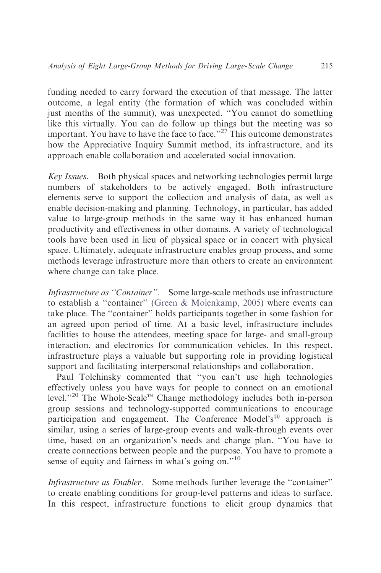funding needed to carry forward the execution of that message. The latter outcome, a legal entity (the formation of which was concluded within just months of the summit), was unexpected. ''You cannot do something like this virtually. You can do follow up things but the meeting was so important. You have to have the face to face. $127$  This outcome demonstrates how the Appreciative Inquiry Summit method, its infrastructure, and its approach enable collaboration and accelerated social innovation.

Key Issues. Both physical spaces and networking technologies permit large numbers of stakeholders to be actively engaged. Both infrastructure elements serve to support the collection and analysis of data, as well as enable decision-making and planning. Technology, in particular, has added value to large-group methods in the same way it has enhanced human productivity and effectiveness in other domains. A variety of technological tools have been used in lieu of physical space or in concert with physical space. Ultimately, adequate infrastructure enables group process, and some methods leverage infrastructure more than others to create an environment where change can take place.

Infrastructure as ''Container''. Some large-scale methods use infrastructure to establish a ''container'' ([Green & Molenkamp, 2005](#page-44-0)) where events can take place. The ''container'' holds participants together in some fashion for an agreed upon period of time. At a basic level, infrastructure includes facilities to house the attendees, meeting space for large- and small-group interaction, and electronics for communication vehicles. In this respect, infrastructure plays a valuable but supporting role in providing logistical support and facilitating interpersonal relationships and collaboration.

Paul Tolchinsky commented that ''you can't use high technologies effectively unless you have ways for people to connect on an emotional level."<sup>20</sup> The Whole-Scale™ Change methodology includes both in-person group sessions and technology-supported communications to encourage participation and engagement. The Conference Model's $<sup>®</sup>$  approach is</sup> similar, using a series of large-group events and walk-through events over time, based on an organization's needs and change plan. ''You have to create connections between people and the purpose. You have to promote a sense of equity and fairness in what's going on."<sup>10</sup>

Infrastructure as Enabler. Some methods further leverage the ''container'' to create enabling conditions for group-level patterns and ideas to surface. In this respect, infrastructure functions to elicit group dynamics that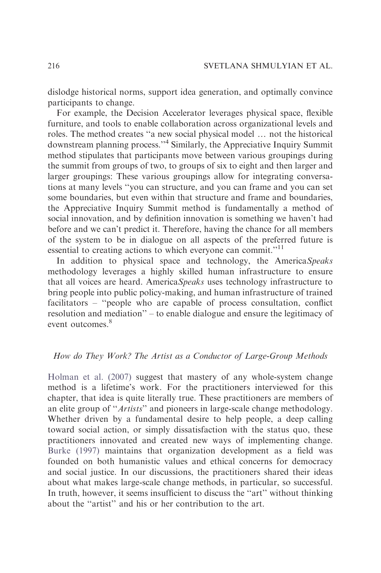dislodge historical norms, support idea generation, and optimally convince participants to change.

For example, the Decision Accelerator leverages physical space, flexible furniture, and tools to enable collaboration across organizational levels and roles. The method creates "a new social physical model ... not the historical downstream planning process.''4 Similarly, the Appreciative Inquiry Summit method stipulates that participants move between various groupings during the summit from groups of two, to groups of six to eight and then larger and larger groupings: These various groupings allow for integrating conversations at many levels ''you can structure, and you can frame and you can set some boundaries, but even within that structure and frame and boundaries, the Appreciative Inquiry Summit method is fundamentally a method of social innovation, and by definition innovation is something we haven't had before and we can't predict it. Therefore, having the chance for all members of the system to be in dialogue on all aspects of the preferred future is essential to creating actions to which everyone can commit.<sup>"11</sup>

In addition to physical space and technology, the AmericaSpeaks methodology leverages a highly skilled human infrastructure to ensure that all voices are heard. AmericaSpeaks uses technology infrastructure to bring people into public policy-making, and human infrastructure of trained facilitators – ''people who are capable of process consultation, conflict resolution and mediation'' – to enable dialogue and ensure the legitimacy of event outcomes 8

## How do They Work? The Artist as a Conductor of Large-Group Methods

[Holman et al. \(2007\)](#page-44-0) suggest that mastery of any whole-system change method is a lifetime's work. For the practitioners interviewed for this chapter, that idea is quite literally true. These practitioners are members of an elite group of ''Artists'' and pioneers in large-scale change methodology. Whether driven by a fundamental desire to help people, a deep calling toward social action, or simply dissatisfaction with the status quo, these practitioners innovated and created new ways of implementing change. [Burke \(1997\)](#page-43-0) maintains that organization development as a field was founded on both humanistic values and ethical concerns for democracy and social justice. In our discussions, the practitioners shared their ideas about what makes large-scale change methods, in particular, so successful. In truth, however, it seems insufficient to discuss the ''art'' without thinking about the ''artist'' and his or her contribution to the art.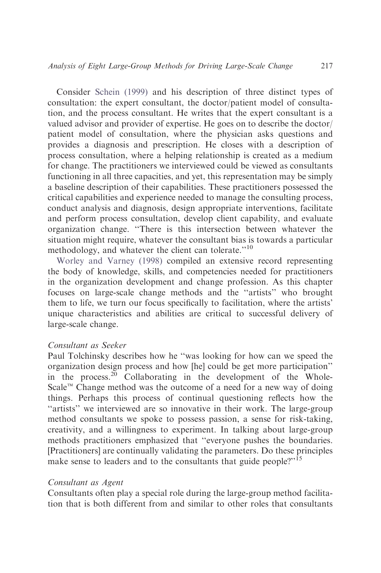Consider [Schein \(1999\)](#page-44-0) and his description of three distinct types of consultation: the expert consultant, the doctor/patient model of consultation, and the process consultant. He writes that the expert consultant is a valued advisor and provider of expertise. He goes on to describe the doctor/ patient model of consultation, where the physician asks questions and provides a diagnosis and prescription. He closes with a description of process consultation, where a helping relationship is created as a medium for change. The practitioners we interviewed could be viewed as consultants functioning in all three capacities, and yet, this representation may be simply a baseline description of their capabilities. These practitioners possessed the critical capabilities and experience needed to manage the consulting process, conduct analysis and diagnosis, design appropriate interventions, facilitate and perform process consultation, develop client capability, and evaluate organization change. ''There is this intersection between whatever the situation might require, whatever the consultant bias is towards a particular methodology, and whatever the client can tolerate."<sup>10</sup>

[Worley and Varney \(1998\)](#page-45-0) compiled an extensive record representing the body of knowledge, skills, and competencies needed for practitioners in the organization development and change profession. As this chapter focuses on large-scale change methods and the ''artists'' who brought them to life, we turn our focus specifically to facilitation, where the artists' unique characteristics and abilities are critical to successful delivery of large-scale change.

## Consultant as Seeker

Paul Tolchinsky describes how he ''was looking for how can we speed the organization design process and how [he] could be get more participation'' in the process.<sup>20</sup> Collaborating in the development of the Whole-Scale<sup> $M$ </sup> Change method was the outcome of a need for a new way of doing things. Perhaps this process of continual questioning reflects how the "artists" we interviewed are so innovative in their work. The large-group method consultants we spoke to possess passion, a sense for risk-taking, creativity, and a willingness to experiment. In talking about large-group methods practitioners emphasized that ''everyone pushes the boundaries. [Practitioners] are continually validating the parameters. Do these principles make sense to leaders and to the consultants that guide people?"<sup>15</sup>

#### Consultant as Agent

Consultants often play a special role during the large-group method facilitation that is both different from and similar to other roles that consultants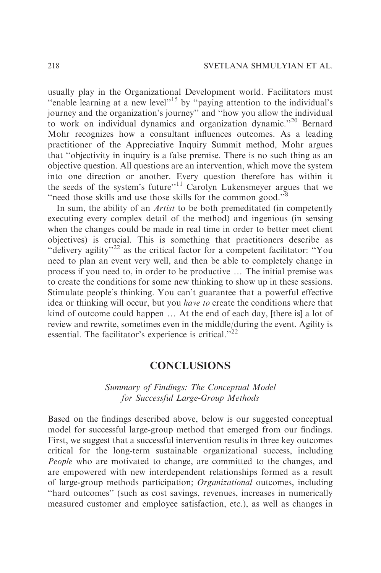usually play in the Organizational Development world. Facilitators must ''enable learning at a new level''<sup>15</sup> by ''paying attention to the individual's journey and the organization's journey'' and ''how you allow the individual to work on individual dynamics and organization dynamic."<sup>20</sup> Bernard Mohr recognizes how a consultant influences outcomes. As a leading practitioner of the Appreciative Inquiry Summit method, Mohr argues that ''objectivity in inquiry is a false premise. There is no such thing as an objective question. All questions are an intervention, which move the system into one direction or another. Every question therefore has within it the seeds of the system's future''<sup>11</sup> Carolyn Lukensmeyer argues that we ''need those skills and use those skills for the common good.''<sup>8</sup>

In sum, the ability of an *Artist* to be both premeditated (in competently executing every complex detail of the method) and ingenious (in sensing when the changes could be made in real time in order to better meet client objectives) is crucial. This is something that practitioners describe as "delivery agility"<sup>22</sup> as the critical factor for a competent facilitator: "You need to plan an event very well, and then be able to completely change in process if you need to, in order to be productive ... The initial premise was to create the conditions for some new thinking to show up in these sessions. Stimulate people's thinking. You can't guarantee that a powerful effective idea or thinking will occur, but you have to create the conditions where that kind of outcome could happen  $\ldots$  At the end of each day, [there is] a lot of review and rewrite, sometimes even in the middle/during the event. Agility is essential. The facilitator's experience is critical.<sup>"22</sup>

## **CONCLUSIONS**

# Summary of Findings: The Conceptual Model for Successful Large-Group Methods

Based on the findings described above, below is our suggested conceptual model for successful large-group method that emerged from our findings. First, we suggest that a successful intervention results in three key outcomes critical for the long-term sustainable organizational success, including People who are motivated to change, are committed to the changes, and are empowered with new interdependent relationships formed as a result of large-group methods participation; Organizational outcomes, including "hard outcomes" (such as cost savings, revenues, increases in numerically measured customer and employee satisfaction, etc.), as well as changes in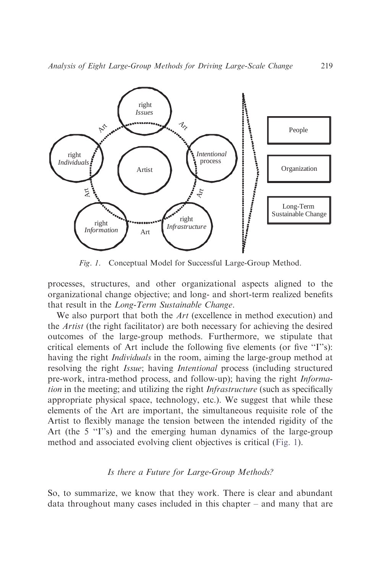

Fig. 1. Conceptual Model for Successful Large-Group Method.

processes, structures, and other organizational aspects aligned to the organizational change objective; and long- and short-term realized benefits that result in the Long-Term Sustainable Change.

We also purport that both the Art (excellence in method execution) and the Artist (the right facilitator) are both necessary for achieving the desired outcomes of the large-group methods. Furthermore, we stipulate that critical elements of Art include the following five elements (or five ''I''s): having the right Individuals in the room, aiming the large-group method at resolving the right Issue; having Intentional process (including structured pre-work, intra-method process, and follow-up); having the right Information in the meeting; and utilizing the right *Infrastructure* (such as specifically appropriate physical space, technology, etc.). We suggest that while these elements of the Art are important, the simultaneous requisite role of the Artist to flexibly manage the tension between the intended rigidity of the Art (the 5 "I"s) and the emerging human dynamics of the large-group method and associated evolving client objectives is critical (Fig. 1).

## Is there a Future for Large-Group Methods?

So, to summarize, we know that they work. There is clear and abundant data throughout many cases included in this chapter – and many that are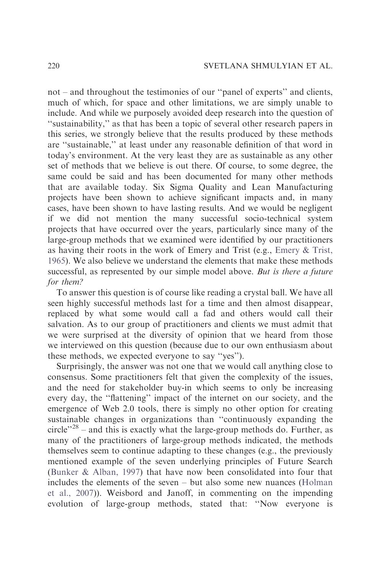not – and throughout the testimonies of our ''panel of experts'' and clients, much of which, for space and other limitations, we are simply unable to include. And while we purposely avoided deep research into the question of ''sustainability,'' as that has been a topic of several other research papers in this series, we strongly believe that the results produced by these methods are ''sustainable,'' at least under any reasonable definition of that word in today's environment. At the very least they are as sustainable as any other set of methods that we believe is out there. Of course, to some degree, the same could be said and has been documented for many other methods that are available today. Six Sigma Quality and Lean Manufacturing projects have been shown to achieve significant impacts and, in many cases, have been shown to have lasting results. And we would be negligent if we did not mention the many successful socio-technical system projects that have occurred over the years, particularly since many of the large-group methods that we examined were identified by our practitioners as having their roots in the work of Emery and Trist (e.g., Emery  $\&$  Trist, [1965\)](#page-43-0). We also believe we understand the elements that make these methods successful, as represented by our simple model above. But is there a future for them?

To answer this question is of course like reading a crystal ball. We have all seen highly successful methods last for a time and then almost disappear, replaced by what some would call a fad and others would call their salvation. As to our group of practitioners and clients we must admit that we were surprised at the diversity of opinion that we heard from those we interviewed on this question (because due to our own enthusiasm about these methods, we expected everyone to say ''yes'').

Surprisingly, the answer was not one that we would call anything close to consensus. Some practitioners felt that given the complexity of the issues, and the need for stakeholder buy-in which seems to only be increasing every day, the ''flattening'' impact of the internet on our society, and the emergence of Web 2.0 tools, there is simply no other option for creating sustainable changes in organizations than ''continuously expanding the circle $128$  – and this is exactly what the large-group methods do. Further, as many of the practitioners of large-group methods indicated, the methods themselves seem to continue adapting to these changes (e.g., the previously mentioned example of the seven underlying principles of Future Search [\(Bunker & Alban, 1997](#page-43-0)) that have now been consolidated into four that includes the elements of the seven – but also some new nuances ([Holman](#page-44-0) [et al., 2007\)](#page-44-0)). Weisbord and Janoff, in commenting on the impending evolution of large-group methods, stated that: ''Now everyone is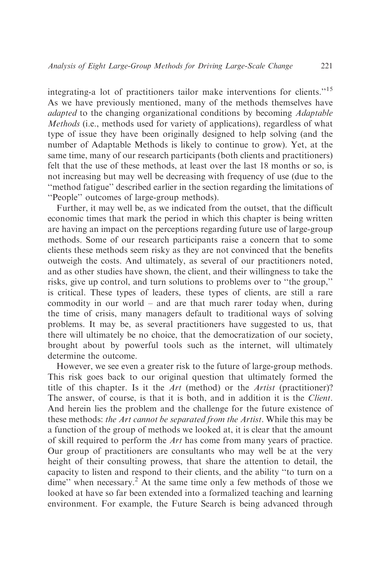integrating-a lot of practitioners tailor make interventions for clients.''<sup>15</sup> As we have previously mentioned, many of the methods themselves have adapted to the changing organizational conditions by becoming Adaptable Methods (i.e., methods used for variety of applications), regardless of what type of issue they have been originally designed to help solving (and the number of Adaptable Methods is likely to continue to grow). Yet, at the same time, many of our research participants (both clients and practitioners) felt that the use of these methods, at least over the last 18 months or so, is not increasing but may well be decreasing with frequency of use (due to the ''method fatigue'' described earlier in the section regarding the limitations of ''People'' outcomes of large-group methods).

Further, it may well be, as we indicated from the outset, that the difficult economic times that mark the period in which this chapter is being written are having an impact on the perceptions regarding future use of large-group methods. Some of our research participants raise a concern that to some clients these methods seem risky as they are not convinced that the benefits outweigh the costs. And ultimately, as several of our practitioners noted, and as other studies have shown, the client, and their willingness to take the risks, give up control, and turn solutions to problems over to ''the group,'' is critical. These types of leaders, these types of clients, are still a rare commodity in our world – and are that much rarer today when, during the time of crisis, many managers default to traditional ways of solving problems. It may be, as several practitioners have suggested to us, that there will ultimately be no choice, that the democratization of our society, brought about by powerful tools such as the internet, will ultimately determine the outcome.

However, we see even a greater risk to the future of large-group methods. This risk goes back to our original question that ultimately formed the title of this chapter. Is it the  $Art$  (method) or the Artist (practitioner)? The answer, of course, is that it is both, and in addition it is the Client. And herein lies the problem and the challenge for the future existence of these methods: the Art cannot be separated from the Artist. While this may be a function of the group of methods we looked at, it is clear that the amount of skill required to perform the Art has come from many years of practice. Our group of practitioners are consultants who may well be at the very height of their consulting prowess, that share the attention to detail, the capacity to listen and respond to their clients, and the ability ''to turn on a dime" when necessary.<sup>2</sup> At the same time only a few methods of those we looked at have so far been extended into a formalized teaching and learning environment. For example, the Future Search is being advanced through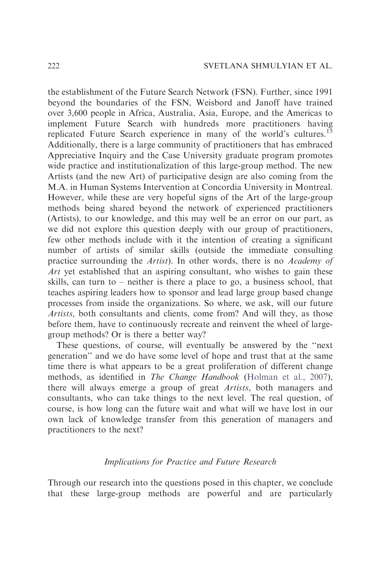the establishment of the Future Search Network (FSN). Further, since 1991 beyond the boundaries of the FSN, Weisbord and Janoff have trained over 3,600 people in Africa, Australia, Asia, Europe, and the Americas to implement Future Search with hundreds more practitioners having replicated Future Search experience in many of the world's cultures.<sup>15</sup> Additionally, there is a large community of practitioners that has embraced Appreciative Inquiry and the Case University graduate program promotes wide practice and institutionalization of this large-group method. The new Artists (and the new Art) of participative design are also coming from the M.A. in Human Systems Intervention at Concordia University in Montreal. However, while these are very hopeful signs of the Art of the large-group methods being shared beyond the network of experienced practitioners (Artists), to our knowledge, and this may well be an error on our part, as we did not explore this question deeply with our group of practitioners, few other methods include with it the intention of creating a significant number of artists of similar skills (outside the immediate consulting practice surrounding the Artist). In other words, there is no Academy of Art yet established that an aspiring consultant, who wishes to gain these skills, can turn to – neither is there a place to go, a business school, that teaches aspiring leaders how to sponsor and lead large group based change processes from inside the organizations. So where, we ask, will our future Artists, both consultants and clients, come from? And will they, as those before them, have to continuously recreate and reinvent the wheel of largegroup methods? Or is there a better way?

These questions, of course, will eventually be answered by the ''next generation'' and we do have some level of hope and trust that at the same time there is what appears to be a great proliferation of different change methods, as identified in *The Change Handbook* ([Holman et al., 2007\)](#page-44-0), there will always emerge a group of great Artists, both managers and consultants, who can take things to the next level. The real question, of course, is how long can the future wait and what will we have lost in our own lack of knowledge transfer from this generation of managers and practitioners to the next?

## Implications for Practice and Future Research

Through our research into the questions posed in this chapter, we conclude that these large-group methods are powerful and are particularly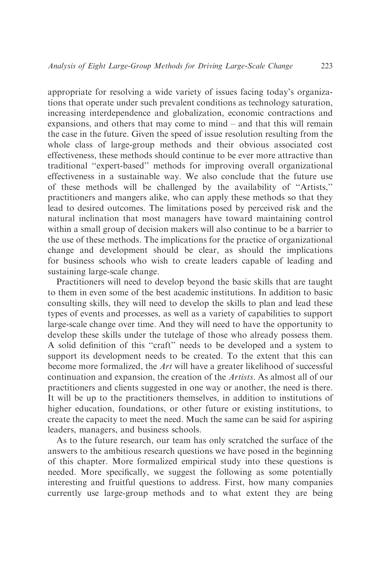appropriate for resolving a wide variety of issues facing today's organizations that operate under such prevalent conditions as technology saturation, increasing interdependence and globalization, economic contractions and expansions, and others that may come to mind – and that this will remain the case in the future. Given the speed of issue resolution resulting from the whole class of large-group methods and their obvious associated cost effectiveness, these methods should continue to be ever more attractive than traditional ''expert-based'' methods for improving overall organizational effectiveness in a sustainable way. We also conclude that the future use of these methods will be challenged by the availability of ''Artists,'' practitioners and mangers alike, who can apply these methods so that they lead to desired outcomes. The limitations posed by perceived risk and the natural inclination that most managers have toward maintaining control within a small group of decision makers will also continue to be a barrier to the use of these methods. The implications for the practice of organizational change and development should be clear, as should the implications for business schools who wish to create leaders capable of leading and sustaining large-scale change.

Practitioners will need to develop beyond the basic skills that are taught to them in even some of the best academic institutions. In addition to basic consulting skills, they will need to develop the skills to plan and lead these types of events and processes, as well as a variety of capabilities to support large-scale change over time. And they will need to have the opportunity to develop these skills under the tutelage of those who already possess them. A solid definition of this ''craft'' needs to be developed and a system to support its development needs to be created. To the extent that this can become more formalized, the Art will have a greater likelihood of successful continuation and expansion, the creation of the Artists. As almost all of our practitioners and clients suggested in one way or another, the need is there. It will be up to the practitioners themselves, in addition to institutions of higher education, foundations, or other future or existing institutions, to create the capacity to meet the need. Much the same can be said for aspiring leaders, managers, and business schools.

As to the future research, our team has only scratched the surface of the answers to the ambitious research questions we have posed in the beginning of this chapter. More formalized empirical study into these questions is needed. More specifically, we suggest the following as some potentially interesting and fruitful questions to address. First, how many companies currently use large-group methods and to what extent they are being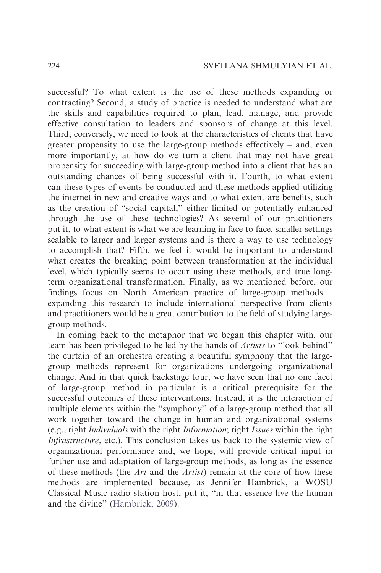successful? To what extent is the use of these methods expanding or contracting? Second, a study of practice is needed to understand what are the skills and capabilities required to plan, lead, manage, and provide effective consultation to leaders and sponsors of change at this level. Third, conversely, we need to look at the characteristics of clients that have greater propensity to use the large-group methods effectively – and, even more importantly, at how do we turn a client that may not have great propensity for succeeding with large-group method into a client that has an outstanding chances of being successful with it. Fourth, to what extent can these types of events be conducted and these methods applied utilizing the internet in new and creative ways and to what extent are benefits, such as the creation of ''social capital,'' either limited or potentially enhanced through the use of these technologies? As several of our practitioners put it, to what extent is what we are learning in face to face, smaller settings scalable to larger and larger systems and is there a way to use technology to accomplish that? Fifth, we feel it would be important to understand what creates the breaking point between transformation at the individual level, which typically seems to occur using these methods, and true longterm organizational transformation. Finally, as we mentioned before, our findings focus on North American practice of large-group methods – expanding this research to include international perspective from clients and practitioners would be a great contribution to the field of studying largegroup methods.

In coming back to the metaphor that we began this chapter with, our team has been privileged to be led by the hands of Artists to ''look behind'' the curtain of an orchestra creating a beautiful symphony that the largegroup methods represent for organizations undergoing organizational change. And in that quick backstage tour, we have seen that no one facet of large-group method in particular is a critical prerequisite for the successful outcomes of these interventions. Instead, it is the interaction of multiple elements within the ''symphony'' of a large-group method that all work together toward the change in human and organizational systems (e.g., right Individuals with the right Information; right Issues within the right Infrastructure, etc.). This conclusion takes us back to the systemic view of organizational performance and, we hope, will provide critical input in further use and adaptation of large-group methods, as long as the essence of these methods (the Art and the Artist) remain at the core of how these methods are implemented because, as Jennifer Hambrick, a WOSU Classical Music radio station host, put it, ''in that essence live the human and the divine'' ([Hambrick, 2009](#page-44-0)).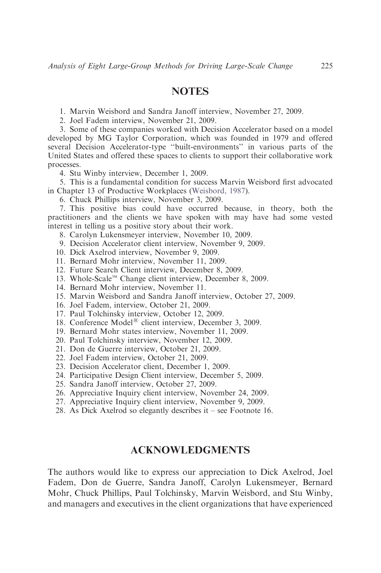# **NOTES**

1. Marvin Weisbord and Sandra Janoff interview, November 27, 2009.

2. Joel Fadem interview, November 21, 2009.

3. Some of these companies worked with Decision Accelerator based on a model developed by MG Taylor Corporation, which was founded in 1979 and offered several Decision Accelerator-type ''built-environments'' in various parts of the United States and offered these spaces to clients to support their collaborative work processes.

4. Stu Winby interview, December 1, 2009.

5. This is a fundamental condition for success Marvin Weisbord first advocated in Chapter 13 of Productive Workplaces [\(Weisbord, 1987\)](#page-44-0).

6. Chuck Phillips interview, November 3, 2009.

7. This positive bias could have occurred because, in theory, both the practitioners and the clients we have spoken with may have had some vested interest in telling us a positive story about their work.

- 8. Carolyn Lukensmeyer interview, November 10, 2009.
- 9. Decision Accelerator client interview, November 9, 2009.
- 10. Dick Axelrod interview, November 9, 2009.
- 11. Bernard Mohr interview, November 11, 2009.
- 12. Future Search Client interview, December 8, 2009.
- 13. Whole-Scale<sup>TM</sup> Change client interview, December 8, 2009.
- 14. Bernard Mohr interview, November 11.
- 15. Marvin Weisbord and Sandra Janoff interview, October 27, 2009.
- 16. Joel Fadem, interview, October 21, 2009.
- 17. Paul Tolchinsky interview, October 12, 2009.
- 18. Conference  $Model^{\circledR}$  client interview, December 3, 2009.
- 19. Bernard Mohr states interview, November 11, 2009.
- 20. Paul Tolchinsky interview, November 12, 2009.
- 21. Don de Guerre interview, October 21, 2009.
- 22. Joel Fadem interview, October 21, 2009.
- 23. Decision Accelerator client, December 1, 2009.
- 24. Participative Design Client interview, December 5, 2009.
- 25. Sandra Janoff interview, October 27, 2009.
- 26. Appreciative Inquiry client interview, November 24, 2009.
- 27. Appreciative Inquiry client interview, November 9, 2009.
- 28. As Dick Axelrod so elegantly describes it see Footnote 16.

# ACKNOWLEDGMENTS

The authors would like to express our appreciation to Dick Axelrod, Joel Fadem, Don de Guerre, Sandra Janoff, Carolyn Lukensmeyer, Bernard Mohr, Chuck Phillips, Paul Tolchinsky, Marvin Weisbord, and Stu Winby, and managers and executives in the client organizations that have experienced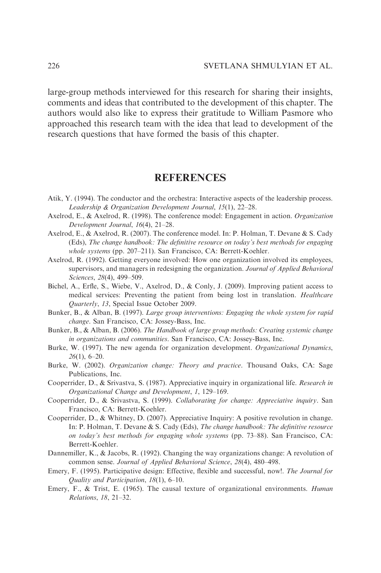<span id="page-43-0"></span>large-group methods interviewed for this research for sharing their insights, comments and ideas that contributed to the development of this chapter. The authors would also like to express their gratitude to William Pasmore who approached this research team with the idea that lead to development of the research questions that have formed the basis of this chapter.

# **REFERENCES**

- Atik, Y. (1994). The conductor and the orchestra: Interactive aspects of the leadership process. Leadership & Organization Development Journal, 15(1), 22–28.
- Axelrod, E., & Axelrod, R. (1998). The conference model: Engagement in action. Organization Development Journal, 16(4), 21–28.
- Axelrod, E., & Axelrod, R. (2007). The conference model. In: P. Holman, T. Devane & S. Cady (Eds), The change handbook: The definitive resource on today's best methods for engaging whole systems (pp. 207–211). San Francisco, CA: Berrett-Koehler.
- Axelrod, R. (1992). Getting everyone involved: How one organization involved its employees, supervisors, and managers in redesigning the organization. Journal of Applied Behavioral Sciences, 28(4), 499-509.
- Bichel, A., Erfle, S., Wiebe, V., Axelrod, D., & Conly, J. (2009). Improving patient access to medical services: Preventing the patient from being lost in translation. Healthcare Quarterly, 13, Special Issue October 2009.
- Bunker, B., & Alban, B. (1997). Large group interventions: Engaging the whole system for rapid change. San Francisco, CA: Jossey-Bass, Inc.
- Bunker, B., & Alban, B. (2006). The Handbook of large group methods: Creating systemic change in organizations and communities. San Francisco, CA: Jossey-Bass, Inc.
- Burke, W. (1997). The new agenda for organization development. Organizational Dynamics,  $26(1)$ , 6-20.
- Burke, W. (2002). Organization change: Theory and practice. Thousand Oaks, CA: Sage Publications, Inc.
- Cooperrider, D., & Srivastva, S. (1987). Appreciative inquiry in organizational life. Research in Organizational Change and Development, 1, 129–169.
- Cooperrider, D., & Srivastva, S. (1999). Collaborating for change: Appreciative inquiry. San Francisco, CA: Berrett-Koehler.
- Cooperrider, D., & Whitney, D. (2007). Appreciative Inquiry: A positive revolution in change. In: P. Holman, T. Devane & S. Cady (Eds), The change handbook: The definitive resource on today's best methods for engaging whole systems (pp. 73–88). San Francisco, CA: Berrett-Koehler.
- Dannemiller, K., & Jacobs, R. (1992). Changing the way organizations change: A revolution of common sense. Journal of Applied Behavioral Science, 28(4), 480–498.
- Emery, F. (1995). Participative design: Effective, flexible and successful, now!. The Journal for Quality and Participation, 18(1), 6–10.
- Emery, F., & Trist, E. (1965). The causal texture of organizational environments. Human Relations, 18, 21–32.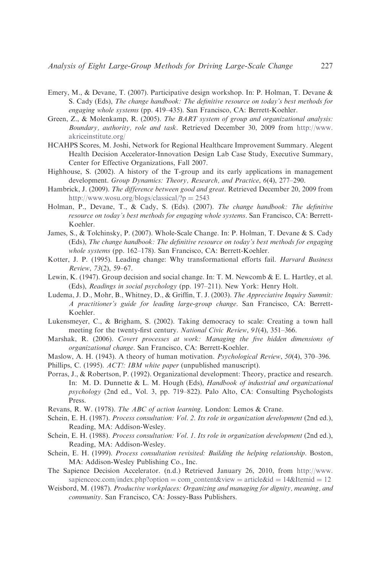- <span id="page-44-0"></span>Emery, M., & Devane, T. (2007). Participative design workshop. In: P. Holman, T. Devane & S. Cady (Eds), The change handbook: The definitive resource on today's best methods for engaging whole systems (pp. 419–435). San Francisco, CA: Berrett-Koehler.
- Green, Z., & Molenkamp, R. (2005). The BART system of group and organizational analysis: Boundary, authority, role and task. Retrieved December 30, 2009 from [http://www.](http://www.akriceinstitute.org/) [akriceinstitute.org/](http://www.akriceinstitute.org/)
- HCAHPS Scores, M. Joshi, Network for Regional Healthcare Improvement Summary. Alegent Health Decision Accelerator-Innovation Design Lab Case Study, Executive Summary, Center for Effective Organizations, Fall 2007.
- Highhouse, S. (2002). A history of the T-group and its early applications in management development. Group Dynamics: Theory, Research, and Practice, 6(4), 277-290.
- Hambrick, J. (2009). The difference between good and great. Retrieved December 20, 2009 from http://www.wosu.org/blogs/classical/? $p = 2543$  $p = 2543$
- Holman, P., Devane, T., & Cady, S. (Eds). (2007). The change handbook: The definitive resource on today's best methods for engaging whole systems. San Francisco, CA: Berrett-Koehler.
- James, S., & Tolchinsky, P. (2007). Whole-Scale Change. In: P. Holman, T. Devane & S. Cady (Eds), The change handbook: The definitive resource on today's best methods for engaging whole systems (pp. 162–178). San Francisco, CA: Berrett-Koehler.
- Kotter, J. P. (1995). Leading change: Why transformational efforts fail. *Harvard Business* Review, 73(2), 59–67.
- Lewin, K. (1947). Group decision and social change. In: T. M. Newcomb & E. L. Hartley, et al. (Eds), Readings in social psychology (pp. 197–211). New York: Henry Holt.
- Ludema, J. D., Mohr, B., Whitney, D., & Griffin, T. J. (2003). The Appreciative Inquiry Summit: A practitioner's guide for leading large-group change. San Francisco, CA: Berrett-Koehler.
- Lukensmeyer, C., & Brigham, S. (2002). Taking democracy to scale: Creating a town hall meeting for the twenty-first century. *National Civic Review*, 91(4), 351–366.
- Marshak, R. (2006). Covert processes at work: Managing the five hidden dimensions of organizational change. San Francisco, CA: Berrett-Koehler.
- Maslow, A. H. (1943). A theory of human motivation. Psychological Review, 50(4), 370–396.
- Phillips, C. (1995). *ACT*: IBM white paper (unpublished manuscript).
- Porras, J., & Robertson, P. (1992). Organizational development: Theory, practice and research. In: M. D. Dunnette & L. M. Hough (Eds), Handbook of industrial and organizational psychology (2nd ed., Vol. 3, pp. 719–822). Palo Alto, CA: Consulting Psychologists Press.
- Revans, R. W. (1978). The ABC of action learning. London: Lemos & Crane.
- Schein, E. H. (1987). Process consultation: Vol. 2. Its role in organization development (2nd ed.), Reading, MA: Addison-Wesley.
- Schein, E. H. (1988). Process consultation: Vol. 1. Its role in organization development (2nd ed.), Reading, MA: Addison-Wesley.
- Schein, E. H. (1999). Process consultation revisited: Building the helping relationship. Boston, MA: Addison-Wesley Publishing Co., Inc.
- The Sapience Decision Accelerator. (n.d.) Retrieved January 26, 2010, from [http://www.](http://www.sapienceoc.com/index.php?option=com_content&view=article&id=14&Itemid=12)  $sapienceoc.com/index.php?option = comcontent&view = article&id = 14&Itemid = 12$  $sapienceoc.com/index.php?option = comcontent&view = article&id = 14&Itemid = 12$  $sapienceoc.com/index.php?option = comcontent&view = article&id = 14&Itemid = 12$  $sapienceoc.com/index.php?option = comcontent&view = article&id = 14&Itemid = 12$  $sapienceoc.com/index.php?option = comcontent&view = article&id = 14&Itemid = 12$  $sapienceoc.com/index.php?option = comcontent&view = article&id = 14&Itemid = 12$  $sapienceoc.com/index.php?option = comcontent&view = article&id = 14&Itemid = 12$
- Weisbord, M. (1987). Productive workplaces: Organizing and managing for dignity, meaning, and community. San Francisco, CA: Jossey-Bass Publishers.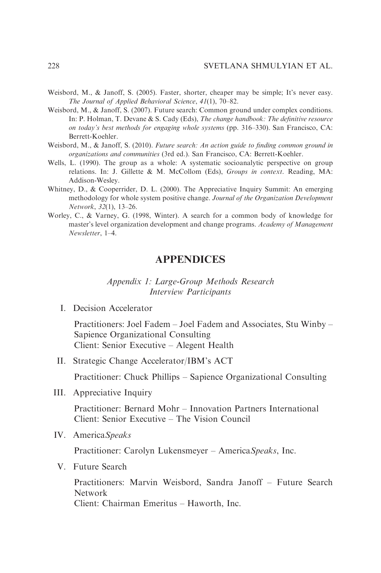- <span id="page-45-0"></span>Weisbord, M., & Janoff, S. (2005). Faster, shorter, cheaper may be simple; It's never easy. The Journal of Applied Behavioral Science, 41(1), 70–82.
- Weisbord, M., & Janoff, S. (2007). Future search: Common ground under complex conditions. In: P. Holman, T. Devane & S. Cady (Eds), The change handbook: The definitive resource on today's best methods for engaging whole systems (pp. 316–330). San Francisco, CA: Berrett-Koehler.
- Weisbord, M., & Janoff, S. (2010). Future search: An action guide to finding common ground in organizations and communities (3rd ed.). San Francisco, CA: Berrett-Koehler.
- Wells, L. (1990). The group as a whole: A systematic socioanalytic perspective on group relations. In: J. Gillette & M. McCollom (Eds), Groups in context. Reading, MA: Addison-Wesley.
- Whitney, D., & Cooperrider, D. L. (2000). The Appreciative Inquiry Summit: An emerging methodology for whole system positive change. Journal of the Organization Development Network, 32(1), 13–26.
- Worley, C., & Varney, G. (1998, Winter). A search for a common body of knowledge for master's level organization development and change programs. Academy of Management Newsletter, 1–4.

# **APPENDICES**

Appendix 1: Large-Group Methods Research Interview Participants

I. Decision Accelerator

Practitioners: Joel Fadem – Joel Fadem and Associates, Stu Winby – Sapience Organizational Consulting Client: Senior Executive – Alegent Health

II. Strategic Change Accelerator/IBM's ACT

Practitioner: Chuck Phillips – Sapience Organizational Consulting

III. Appreciative Inquiry

Practitioner: Bernard Mohr – Innovation Partners International Client: Senior Executive – The Vision Council

IV. AmericaSpeaks

Practitioner: Carolyn Lukensmeyer – AmericaSpeaks, Inc.

V. Future Search

Practitioners: Marvin Weisbord, Sandra Janoff – Future Search Network Client: Chairman Emeritus – Haworth, Inc.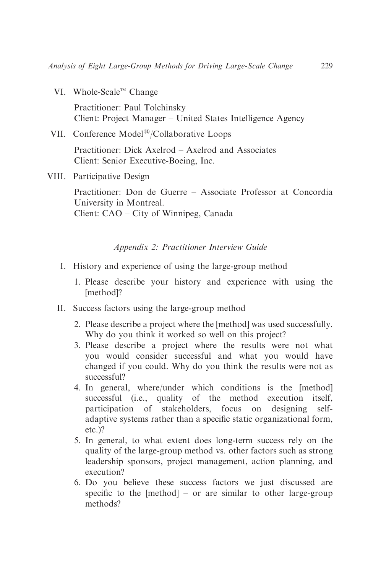VI. Whole-Scale<sup> $M$ </sup> Change

Practitioner: Paul Tolchinsky Client: Project Manager – United States Intelligence Agency

VII. Conference  $Model^{\circledR}/Collaborative Loops$ 

Practitioner: Dick Axelrod – Axelrod and Associates Client: Senior Executive-Boeing, Inc.

VIII. Participative Design

Practitioner: Don de Guerre – Associate Professor at Concordia University in Montreal. Client: CAO – City of Winnipeg, Canada

Appendix 2: Practitioner Interview Guide

- I. History and experience of using the large-group method
	- 1. Please describe your history and experience with using the [method]?
- II. Success factors using the large-group method
	- 2. Please describe a project where the [method] was used successfully. Why do you think it worked so well on this project?
	- 3. Please describe a project where the results were not what you would consider successful and what you would have changed if you could. Why do you think the results were not as successful?
	- 4. In general, where/under which conditions is the [method] successful (i.e., quality of the method execution itself, participation of stakeholders, focus on designing selfadaptive systems rather than a specific static organizational form, etc.)?
	- 5. In general, to what extent does long-term success rely on the quality of the large-group method vs. other factors such as strong leadership sponsors, project management, action planning, and execution?
	- 6. Do you believe these success factors we just discussed are specific to the  $[method] - or are similar to other large-group$ methods?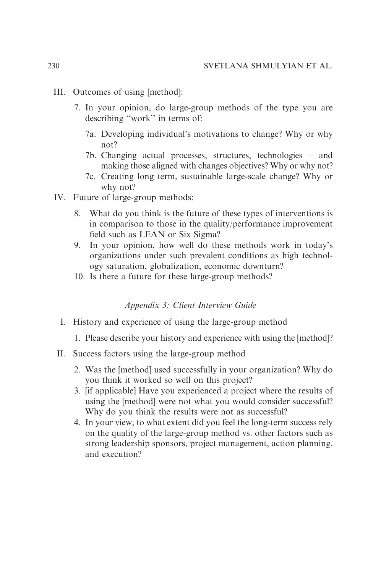- III. Outcomes of using [method]:
	- 7. In your opinion, do large-group methods of the type you are describing ''work'' in terms of:
		- 7a. Developing individual's motivations to change? Why or why not?
		- 7b. Changing actual processes, structures, technologies and making those aligned with changes objectives? Why or why not?
		- 7c. Creating long term, sustainable large-scale change? Why or why not?
- IV. Future of large-group methods:
	- 8. What do you think is the future of these types of interventions is in comparison to those in the quality/performance improvement field such as LEAN or Six Sigma?
	- 9. In your opinion, how well do these methods work in today's organizations under such prevalent conditions as high technology saturation, globalization, economic downturn?
	- 10. Is there a future for these large-group methods?

## Appendix 3: Client Interview Guide

- I. History and experience of using the large-group method
	- 1. Please describe your history and experience with using the [method]?
- II. Success factors using the large-group method
	- 2. Was the [method] used successfully in your organization? Why do you think it worked so well on this project?
	- 3. [if applicable] Have you experienced a project where the results of using the [method] were not what you would consider successful? Why do you think the results were not as successful?
	- 4. In your view, to what extent did you feel the long-term success rely on the quality of the large-group method vs. other factors such as strong leadership sponsors, project management, action planning, and execution?